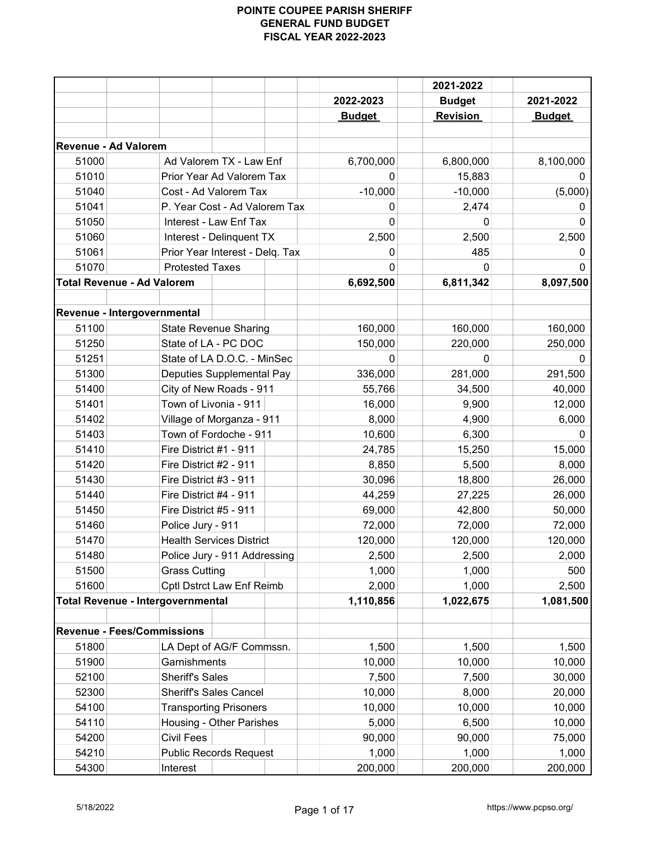|                                          |                        |                                  |               | 2021-2022       |               |
|------------------------------------------|------------------------|----------------------------------|---------------|-----------------|---------------|
|                                          |                        |                                  | 2022-2023     | <b>Budget</b>   | 2021-2022     |
|                                          |                        |                                  | <b>Budget</b> | <b>Revision</b> | <b>Budget</b> |
|                                          |                        |                                  |               |                 |               |
| <b>Revenue - Ad Valorem</b>              |                        |                                  |               |                 |               |
| 51000                                    |                        | Ad Valorem TX - Law Enf          | 6,700,000     | 6,800,000       | 8,100,000     |
| 51010                                    |                        | Prior Year Ad Valorem Tax        | 0             | 15,883          | 0             |
| 51040                                    |                        | Cost - Ad Valorem Tax            | $-10,000$     | $-10,000$       | (5,000)       |
| 51041                                    |                        | P. Year Cost - Ad Valorem Tax    | 0             | 2,474           | 0             |
| 51050                                    |                        | Interest - Law Enf Tax           | 0             |                 | O             |
| 51060                                    |                        | Interest - Delinquent TX         | 2,500         | 2,500           | 2,500         |
| 51061                                    |                        | Prior Year Interest - Delq. Tax  | 0             | 485             | 0             |
| 51070                                    | <b>Protested Taxes</b> |                                  | 0             | 0               |               |
| <b>Total Revenue - Ad Valorem</b>        |                        |                                  | 6,692,500     | 6,811,342       | 8,097,500     |
|                                          |                        |                                  |               |                 |               |
| Revenue - Intergovernmental              |                        |                                  |               |                 |               |
| 51100                                    |                        | <b>State Revenue Sharing</b>     | 160,000       | 160,000         | 160,000       |
| 51250                                    |                        | State of LA - PC DOC             | 150,000       | 220,000         | 250,000       |
| 51251                                    |                        | State of LA D.O.C. - MinSec      | 0             | 0               | $\Omega$      |
| 51300                                    |                        | <b>Deputies Supplemental Pay</b> | 336,000       | 281,000         | 291,500       |
| 51400                                    |                        | City of New Roads - 911          | 55,766        | 34,500          | 40,000        |
| 51401                                    |                        | Town of Livonia - 911            | 16,000        | 9,900           | 12,000        |
| 51402                                    |                        | Village of Morganza - 911        | 8,000         | 4,900           | 6,000         |
| 51403                                    | Town of Fordoche - 911 |                                  | 10,600        | 6,300           | 0             |
| 51410                                    | Fire District #1 - 911 |                                  | 24,785        | 15,250          | 15,000        |
| 51420                                    | Fire District #2 - 911 |                                  | 8,850         | 5,500           | 8,000         |
| 51430                                    | Fire District #3 - 911 |                                  | 30,096        | 18,800          | 26,000        |
| 51440                                    | Fire District #4 - 911 |                                  | 44,259        | 27,225          | 26,000        |
| 51450                                    | Fire District #5 - 911 |                                  | 69,000        | 42,800          | 50,000        |
| 51460                                    | Police Jury - 911      |                                  | 72,000        | 72,000          | 72,000        |
| 51470                                    |                        | <b>Health Services District</b>  | 120,000       | 120,000         | 120,000       |
| 51480                                    |                        | Police Jury - 911 Addressing     | 2,500         | 2,500           | 2,000         |
| 51500                                    | <b>Grass Cutting</b>   |                                  | 1,000         | 1,000           | 500           |
| 51600                                    |                        | Cptl Dstrct Law Enf Reimb        | 2,000         | 1,000           | 2,500         |
| <b>Total Revenue - Intergovernmental</b> |                        |                                  | 1,110,856     | 1,022,675       | 1,081,500     |
|                                          |                        |                                  |               |                 |               |
| <b>Revenue - Fees/Commissions</b>        |                        |                                  |               |                 |               |
| 51800                                    |                        | LA Dept of AG/F Commssn.         | 1,500         | 1,500           | 1,500         |
| 51900                                    | Garnishments           |                                  | 10,000        | 10,000          | 10,000        |
| 52100                                    | <b>Sheriff's Sales</b> |                                  | 7,500         | 7,500           | 30,000        |
| 52300                                    |                        | <b>Sheriff's Sales Cancel</b>    | 10,000        | 8,000           | 20,000        |
| 54100                                    |                        | <b>Transporting Prisoners</b>    | 10,000        | 10,000          | 10,000        |
| 54110                                    |                        | Housing - Other Parishes         | 5,000         | 6,500           | 10,000        |
| 54200                                    | <b>Civil Fees</b>      |                                  | 90,000        | 90,000          | 75,000        |
| 54210                                    |                        | <b>Public Records Request</b>    | 1,000         | 1,000           | 1,000         |
| 54300                                    | Interest               |                                  | 200,000       | 200,000         | 200,000       |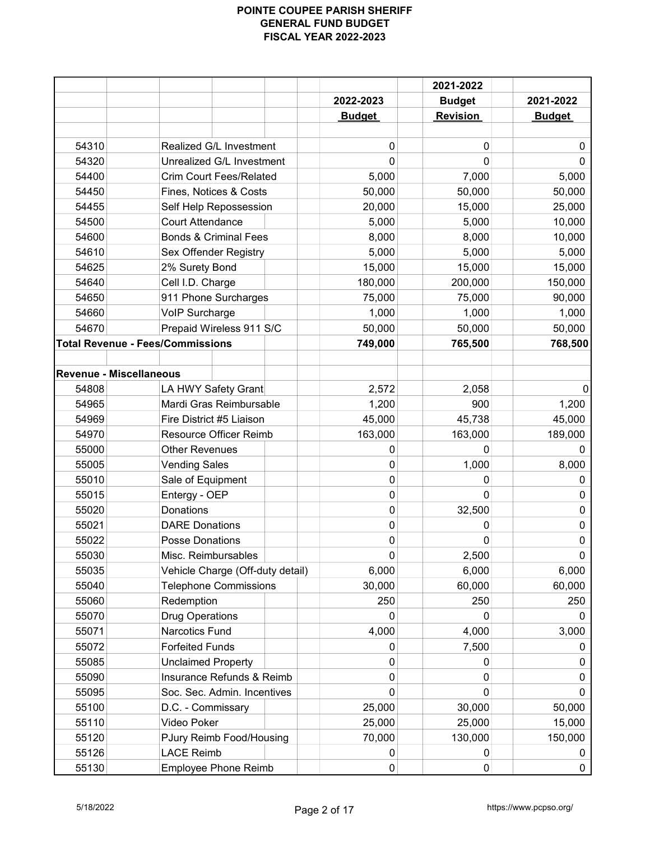|                                |                                         |               | 2021-2022       |               |
|--------------------------------|-----------------------------------------|---------------|-----------------|---------------|
|                                |                                         | 2022-2023     | <b>Budget</b>   | 2021-2022     |
|                                |                                         | <b>Budget</b> | <b>Revision</b> | <b>Budget</b> |
|                                |                                         |               |                 |               |
| 54310                          | Realized G/L Investment                 | 0             | 0               | 0             |
| 54320                          | Unrealized G/L Investment               | 0             | 0               | $\Omega$      |
| 54400                          | <b>Crim Court Fees/Related</b>          | 5,000         | 7,000           | 5,000         |
| 54450                          | Fines, Notices & Costs                  | 50,000        | 50,000          | 50,000        |
| 54455                          | Self Help Repossession                  | 20,000        | 15,000          | 25,000        |
| 54500                          | <b>Court Attendance</b>                 | 5,000         | 5,000           | 10,000        |
| 54600                          | <b>Bonds &amp; Criminal Fees</b>        | 8,000         | 8,000           | 10,000        |
| 54610                          | Sex Offender Registry                   | 5,000         | 5,000           | 5,000         |
| 54625                          | 2% Surety Bond                          | 15,000        | 15,000          | 15,000        |
| 54640                          | Cell I.D. Charge                        | 180,000       | 200,000         | 150,000       |
| 54650                          | 911 Phone Surcharges                    | 75,000        | 75,000          | 90,000        |
| 54660                          | VoIP Surcharge                          | 1,000         | 1,000           | 1,000         |
| 54670                          | Prepaid Wireless 911 S/C                | 50,000        | 50,000          | 50,000        |
|                                | <b>Total Revenue - Fees/Commissions</b> | 749,000       | 765,500         | 768,500       |
|                                |                                         |               |                 |               |
| <b>Revenue - Miscellaneous</b> |                                         |               |                 |               |
| 54808                          | LA HWY Safety Grant                     | 2,572         | 2,058           |               |
| 54965                          | Mardi Gras Reimbursable                 | 1,200         | 900             | 1,200         |
| 54969                          | Fire District #5 Liaison                | 45,000        | 45,738          | 45,000        |
| 54970                          | Resource Officer Reimb                  | 163,000       | 163,000         | 189,000       |
| 55000                          | <b>Other Revenues</b>                   | 0             | 0               | 0             |
| 55005                          | <b>Vending Sales</b>                    | 0             | 1,000           | 8,000         |
| 55010                          | Sale of Equipment                       | 0             | 0               | 0             |
| 55015                          | Entergy - OEP                           | 0             | 0               | 0             |
| 55020                          | Donations                               | 0             | 32,500          | 0             |
| 55021                          | <b>DARE Donations</b>                   | 0             | 0               | 0             |
| 55022                          | <b>Posse Donations</b>                  | 0             | 0               | $\pmb{0}$     |
| 55030                          | Misc. Reimbursables                     | 0             | 2,500           | 0             |
| 55035                          | Vehicle Charge (Off-duty detail)        | 6,000         | 6,000           | 6,000         |
| 55040                          | <b>Telephone Commissions</b>            | 30,000        | 60,000          | 60,000        |
| 55060                          | Redemption                              | 250           | 250             | 250           |
| 55070                          | <b>Drug Operations</b>                  | 0             | 0               | 0             |
| 55071                          | Narcotics Fund                          | 4,000         | 4,000           | 3,000         |
| 55072                          | <b>Forfeited Funds</b>                  | 0             | 7,500           | 0             |
| 55085                          | <b>Unclaimed Property</b>               | 0             | 0               | 0             |
| 55090                          | Insurance Refunds & Reimb               | 0             | 0               | 0             |
| 55095                          | Soc. Sec. Admin. Incentives             | 0             | 0               | 0             |
|                                |                                         |               |                 |               |
| 55100                          | D.C. - Commissary                       | 25,000        | 30,000          | 50,000        |
| 55110                          | Video Poker                             | 25,000        | 25,000          | 15,000        |
| 55120                          | <b>PJury Reimb Food/Housing</b>         | 70,000        | 130,000         | 150,000       |
| 55126                          | <b>LACE Reimb</b>                       | 0             | 0               | 0             |
| 55130                          | Employee Phone Reimb                    | 0             | 0               | 0             |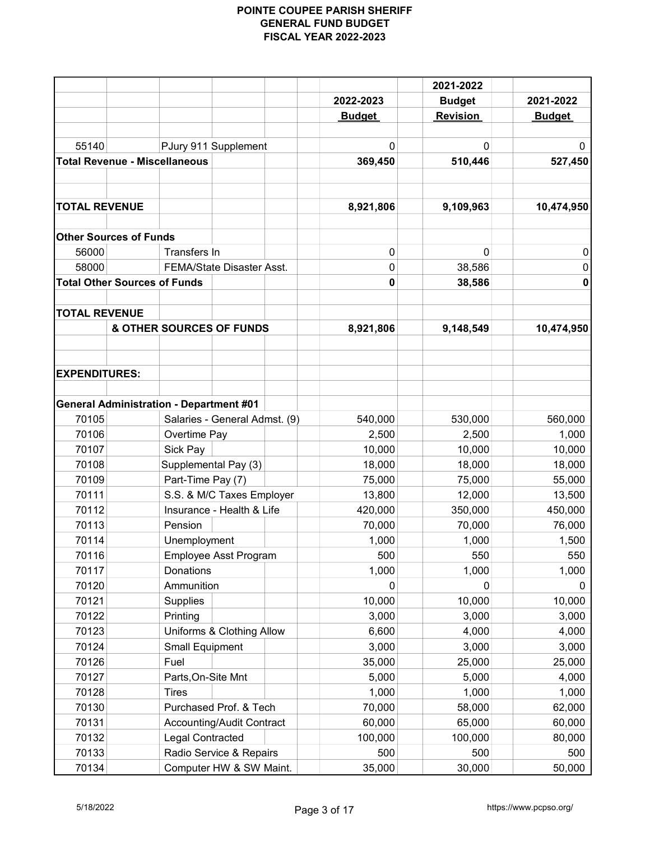|                                      |                                                |               | 2021-2022       |               |
|--------------------------------------|------------------------------------------------|---------------|-----------------|---------------|
|                                      |                                                | 2022-2023     | <b>Budget</b>   | 2021-2022     |
|                                      |                                                | <b>Budget</b> | <b>Revision</b> | <b>Budget</b> |
|                                      |                                                |               |                 |               |
| 55140                                | PJury 911 Supplement                           | 0             | 0               | $\mathbf{0}$  |
| <b>Total Revenue - Miscellaneous</b> |                                                | 369,450       | 510,446         | 527,450       |
|                                      |                                                |               |                 |               |
|                                      |                                                |               |                 |               |
| <b>TOTAL REVENUE</b>                 |                                                | 8,921,806     | 9,109,963       | 10,474,950    |
| <b>Other Sources of Funds</b>        |                                                |               |                 |               |
| 56000                                | Transfers In                                   | 0             | 0               | 0             |
| 58000                                | FEMA/State Disaster Asst.                      | 0             | 38,586          | 0             |
| <b>Total Other Sources of Funds</b>  |                                                | 0             | 38,586          | 0             |
|                                      |                                                |               |                 |               |
| <b>TOTAL REVENUE</b>                 |                                                |               |                 |               |
|                                      | & OTHER SOURCES OF FUNDS                       | 8,921,806     | 9,148,549       | 10,474,950    |
|                                      |                                                |               |                 |               |
| <b>EXPENDITURES:</b>                 |                                                |               |                 |               |
|                                      |                                                |               |                 |               |
|                                      | <b>General Administration - Department #01</b> |               |                 |               |
| 70105                                | Salaries - General Admst. (9)                  | 540,000       | 530,000         | 560,000       |
| 70106                                | Overtime Pay                                   | 2,500         | 2,500           | 1,000         |
| 70107                                | Sick Pay                                       | 10,000        | 10,000          | 10,000        |
| 70108                                | Supplemental Pay (3)                           | 18,000        | 18,000          | 18,000        |
| 70109                                | Part-Time Pay (7)                              | 75,000        | 75,000          | 55,000        |
| 70111                                | S.S. & M/C Taxes Employer                      | 13,800        | 12,000          | 13,500        |
| 70112                                | Insurance - Health & Life                      | 420,000       | 350,000         | 450,000       |
| 70113                                | Pension                                        | 70,000        | 70,000          | 76,000        |
| 70114                                | Unemployment                                   | 1,000         | 1,000           | 1,500         |
| 70116                                | <b>Employee Asst Program</b>                   | 500           | 550             | 550           |
| 70117                                | Donations                                      | 1,000         | 1,000           | 1,000         |
| 70120                                | Ammunition                                     | 0             | 0               | 0             |
| 70121                                | Supplies                                       | 10,000        | 10,000          | 10,000        |
| 70122                                | Printing                                       | 3,000         | 3,000           | 3,000         |
| 70123                                | Uniforms & Clothing Allow                      | 6,600         | 4,000           | 4,000         |
| 70124                                | <b>Small Equipment</b>                         | 3,000         | 3,000           | 3,000         |
| 70126                                | Fuel                                           | 35,000        | 25,000          | 25,000        |
| 70127                                | Parts, On-Site Mnt                             | 5,000         | 5,000           | 4,000         |
| 70128                                | <b>Tires</b>                                   | 1,000         | 1,000           | 1,000         |
| 70130                                | Purchased Prof. & Tech                         | 70,000        | 58,000          | 62,000        |
| 70131                                | Accounting/Audit Contract                      | 60,000        | 65,000          | 60,000        |
| 70132                                | Legal Contracted                               | 100,000       | 100,000         | 80,000        |
| 70133                                | Radio Service & Repairs                        | 500           | 500             | 500           |
| 70134                                | Computer HW & SW Maint.                        | 35,000        | 30,000          | 50,000        |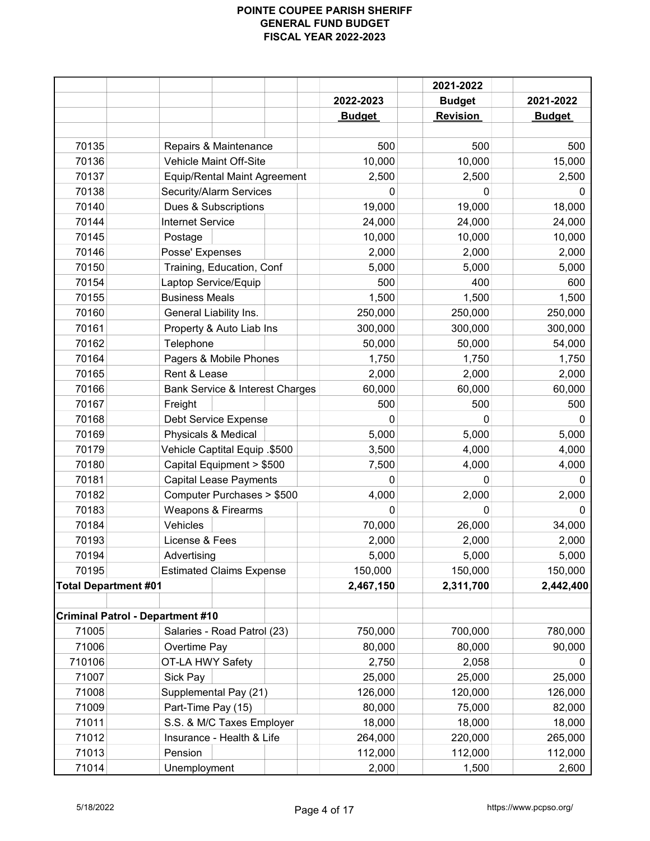|                                         |                                     |               | 2021-2022       |               |
|-----------------------------------------|-------------------------------------|---------------|-----------------|---------------|
|                                         |                                     | 2022-2023     | <b>Budget</b>   | 2021-2022     |
|                                         |                                     | <b>Budget</b> | <b>Revision</b> | <b>Budget</b> |
|                                         |                                     |               |                 |               |
| 70135                                   | Repairs & Maintenance               | 500           | 500             | 500           |
| 70136                                   | Vehicle Maint Off-Site              | 10,000        | 10,000          | 15,000        |
| 70137                                   | <b>Equip/Rental Maint Agreement</b> | 2,500         | 2,500           | 2,500         |
| 70138                                   | Security/Alarm Services             | 0             | 0               | 0             |
| 70140                                   | Dues & Subscriptions                | 19,000        | 19,000          | 18,000        |
| 70144                                   | <b>Internet Service</b>             | 24,000        | 24,000          | 24,000        |
| 70145                                   | Postage                             | 10,000        | 10,000          | 10,000        |
| 70146                                   | Posse' Expenses                     | 2,000         | 2,000           | 2,000         |
| 70150                                   | Training, Education, Conf           | 5,000         | 5,000           | 5,000         |
| 70154                                   | Laptop Service/Equip                | 500           | 400             | 600           |
| 70155                                   | <b>Business Meals</b>               | 1,500         | 1,500           | 1,500         |
| 70160                                   | General Liability Ins.              | 250,000       | 250,000         | 250,000       |
| 70161                                   | Property & Auto Liab Ins            | 300,000       | 300,000         | 300,000       |
| 70162                                   | Telephone                           | 50,000        | 50,000          | 54,000        |
| 70164                                   | Pagers & Mobile Phones              | 1,750         | 1,750           | 1,750         |
| 70165                                   | Rent & Lease                        | 2,000         | 2,000           | 2,000         |
| 70166                                   | Bank Service & Interest Charges     | 60,000        | 60,000          | 60,000        |
| 70167                                   | Freight                             | 500           | 500             | 500           |
| 70168                                   | Debt Service Expense                | 0             | 0               | 0             |
| 70169                                   | Physicals & Medical                 | 5,000         | 5,000           | 5,000         |
| 70179                                   | Vehicle Captital Equip .\$500       | 3,500         | 4,000           | 4,000         |
| 70180                                   | Capital Equipment > \$500           | 7,500         | 4,000           | 4,000         |
| 70181                                   | <b>Capital Lease Payments</b>       | 0             | 0               | 0             |
| 70182                                   | Computer Purchases > \$500          | 4,000         | 2,000           | 2,000         |
| 70183                                   | Weapons & Firearms                  | 0             | 0               | 0             |
| 70184                                   | Vehicles                            | 70,000        | 26,000          | 34,000        |
| 70193                                   | License & Fees                      | 2,000         | 2,000           | 2,000         |
| 70194                                   | Advertising                         | 5,000         | 5,000           | 5,000         |
| 70195                                   | <b>Estimated Claims Expense</b>     | 150,000       | 150,000         | 150,000       |
| <b>Total Department #01</b>             |                                     | 2,467,150     | 2,311,700       | 2,442,400     |
|                                         |                                     |               |                 |               |
| <b>Criminal Patrol - Department #10</b> |                                     |               |                 |               |
| 71005                                   | Salaries - Road Patrol (23)         | 750,000       | 700,000         | 780,000       |
| 71006                                   | Overtime Pay                        | 80,000        | 80,000          | 90,000        |
| 710106                                  | OT-LA HWY Safety                    | 2,750         | 2,058           | 0             |
| 71007                                   | Sick Pay                            | 25,000        | 25,000          | 25,000        |
| 71008                                   | Supplemental Pay (21)               | 126,000       | 120,000         | 126,000       |
| 71009                                   | Part-Time Pay (15)                  | 80,000        | 75,000          | 82,000        |
| 71011                                   | S.S. & M/C Taxes Employer           | 18,000        | 18,000          | 18,000        |
| 71012                                   | Insurance - Health & Life           | 264,000       | 220,000         | 265,000       |
| 71013                                   | Pension                             | 112,000       | 112,000         | 112,000       |
| 71014                                   | Unemployment                        | 2,000         | 1,500           | 2,600         |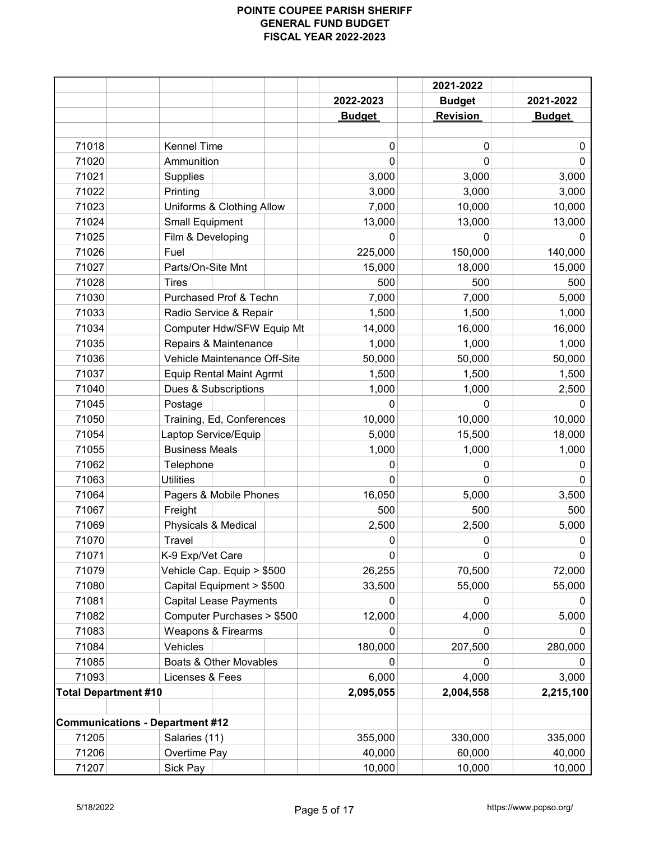|                             |                                        |               | 2021-2022       |               |
|-----------------------------|----------------------------------------|---------------|-----------------|---------------|
|                             |                                        | 2022-2023     | <b>Budget</b>   | 2021-2022     |
|                             |                                        | <b>Budget</b> | <b>Revision</b> | <b>Budget</b> |
|                             |                                        |               |                 |               |
| 71018                       | <b>Kennel Time</b>                     | 0             | 0               | 0             |
| 71020                       | Ammunition                             | 0             | 0               | 0             |
| 71021                       | Supplies                               | 3,000         | 3,000           | 3,000         |
| 71022                       | Printing                               | 3,000         | 3,000           | 3,000         |
| 71023                       | Uniforms & Clothing Allow              | 7,000         | 10,000          | 10,000        |
| 71024                       | <b>Small Equipment</b>                 | 13,000        | 13,000          | 13,000        |
| 71025                       | Film & Developing                      | 0             | 0               | 0             |
| 71026                       | Fuel                                   | 225,000       | 150,000         | 140,000       |
| 71027                       | Parts/On-Site Mnt                      | 15,000        | 18,000          | 15,000        |
| 71028                       | <b>Tires</b>                           | 500           | 500             | 500           |
| 71030                       | Purchased Prof & Techn                 | 7,000         | 7,000           | 5,000         |
| 71033                       | Radio Service & Repair                 | 1,500         | 1,500           | 1,000         |
| 71034                       | Computer Hdw/SFW Equip Mt              | 14,000        | 16,000          | 16,000        |
| 71035                       | Repairs & Maintenance                  | 1,000         | 1,000           | 1,000         |
| 71036                       | Vehicle Maintenance Off-Site           | 50,000        | 50,000          | 50,000        |
| 71037                       | <b>Equip Rental Maint Agrmt</b>        | 1,500         | 1,500           | 1,500         |
| 71040                       | Dues & Subscriptions                   | 1,000         | 1,000           | 2,500         |
| 71045                       | Postage                                | 0             | 0               | 0             |
| 71050                       | Training, Ed, Conferences              | 10,000        | 10,000          | 10,000        |
| 71054                       | Laptop Service/Equip                   | 5,000         | 15,500          | 18,000        |
| 71055                       | <b>Business Meals</b>                  | 1,000         | 1,000           | 1,000         |
| 71062                       | Telephone                              | 0             | 0               | $\Omega$      |
| 71063                       | <b>Utilities</b>                       | 0             | 0               | 0             |
| 71064                       | Pagers & Mobile Phones                 | 16,050        | 5,000           | 3,500         |
| 71067                       | Freight                                | 500           | 500             | 500           |
| 71069                       | Physicals & Medical                    | 2,500         | 2,500           | 5,000         |
| 71070                       | Travel                                 | 0             | 0               | $\pmb{0}$     |
| 71071                       | K-9 Exp/Vet Care                       | 0             | $\Omega$        | 0             |
| 71079                       | Vehicle Cap. Equip > \$500             | 26,255        | 70,500          | 72,000        |
| 71080                       | Capital Equipment > \$500              | 33,500        | 55,000          | 55,000        |
| 71081                       | <b>Capital Lease Payments</b>          | 0             | 0               | $\Omega$      |
| 71082                       | Computer Purchases > \$500             | 12,000        | 4,000           | 5,000         |
| 71083                       | Weapons & Firearms                     | 0             | 0               | $\Omega$      |
| 71084                       | Vehicles                               | 180,000       | 207,500         | 280,000       |
| 71085                       | Boats & Other Movables                 |               |                 |               |
| 71093                       | Licenses & Fees                        | 6,000         | 4,000           | 3,000         |
| <b>Total Department #10</b> |                                        | 2,095,055     | 2,004,558       | 2,215,100     |
|                             |                                        |               |                 |               |
|                             | <b>Communications - Department #12</b> |               |                 |               |
| 71205                       | Salaries (11)                          | 355,000       | 330,000         | 335,000       |
| 71206                       | Overtime Pay                           | 40,000        | 60,000          | 40,000        |
| 71207                       | Sick Pay                               | 10,000        | 10,000          | 10,000        |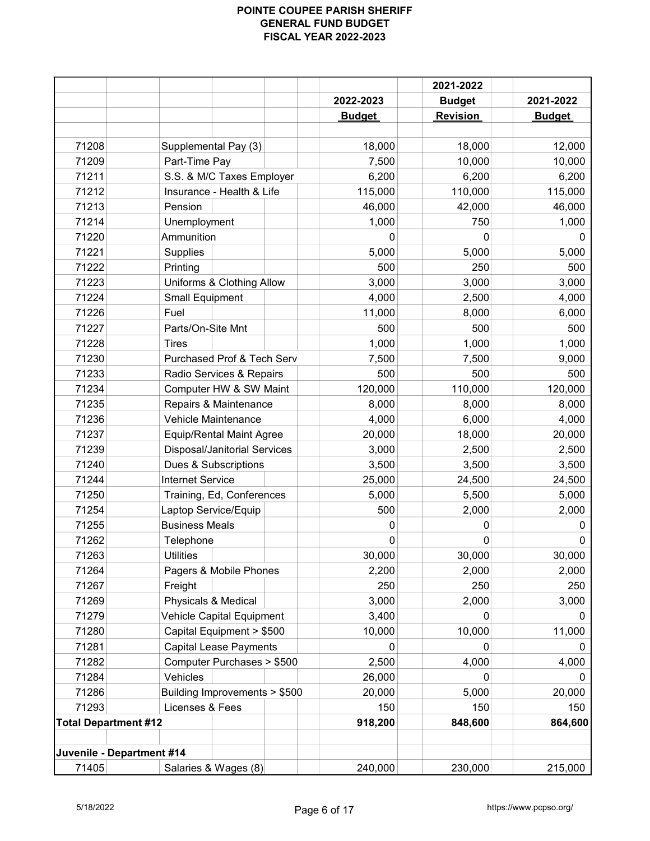|       |                             |                                     |               | 2021-2022       |               |
|-------|-----------------------------|-------------------------------------|---------------|-----------------|---------------|
|       |                             |                                     | 2022-2023     | <b>Budget</b>   | 2021-2022     |
|       |                             |                                     | <b>Budget</b> | <b>Revision</b> | <b>Budget</b> |
|       |                             |                                     |               |                 |               |
| 71208 |                             | Supplemental Pay (3)                | 18,000        | 18,000          | 12,000        |
| 71209 | Part-Time Pay               |                                     | 7,500         | 10,000          | 10,000        |
| 71211 |                             | S.S. & M/C Taxes Employer           | 6,200         | 6,200           | 6,200         |
| 71212 |                             | Insurance - Health & Life           | 115,000       | 110,000         | 115,000       |
| 71213 | Pension                     |                                     | 46,000        | 42,000          | 46,000        |
| 71214 | Unemployment                |                                     | 1,000         | 750             | 1,000         |
| 71220 | Ammunition                  |                                     | 0             | 0               | 0             |
| 71221 | Supplies                    |                                     | 5,000         | 5,000           | 5,000         |
| 71222 | Printing                    |                                     | 500           | 250             | 500           |
| 71223 |                             | Uniforms & Clothing Allow           | 3,000         | 3,000           | 3,000         |
| 71224 | <b>Small Equipment</b>      |                                     | 4,000         | 2,500           | 4,000         |
| 71226 | Fuel                        |                                     | 11,000        | 8,000           | 6,000         |
| 71227 | Parts/On-Site Mnt           |                                     | 500           | 500             | 500           |
| 71228 | <b>Tires</b>                |                                     | 1,000         | 1,000           | 1,000         |
| 71230 |                             | Purchased Prof & Tech Serv          | 7,500         | 7,500           | 9,000         |
| 71233 |                             | Radio Services & Repairs            | 500           | 500             | 500           |
| 71234 |                             | Computer HW & SW Maint              | 120,000       | 110,000         | 120,000       |
| 71235 |                             | Repairs & Maintenance               | 8,000         | 8,000           | 8,000         |
| 71236 |                             | Vehicle Maintenance                 | 4,000         | 6,000           | 4,000         |
| 71237 |                             | <b>Equip/Rental Maint Agree</b>     | 20,000        | 18,000          | 20,000        |
| 71239 |                             | <b>Disposal/Janitorial Services</b> | 3,000         | 2,500           | 2,500         |
| 71240 |                             | Dues & Subscriptions                | 3,500         | 3,500           | 3,500         |
| 71244 | <b>Internet Service</b>     |                                     | 25,000        | 24,500          | 24,500        |
| 71250 |                             | Training, Ed, Conferences           | 5,000         | 5,500           | 5,000         |
| 71254 | Laptop Service/Equip        |                                     | 500           | 2,000           | 2,000         |
| 71255 | <b>Business Meals</b>       |                                     | 0             | 0               | 0             |
| 71262 | Telephone                   |                                     | 0             | 0               | $\pmb{0}$     |
| 71263 | <b>Utilities</b>            |                                     | 30,000        | 30,000          | 30,000        |
| 71264 |                             | Pagers & Mobile Phones              | 2,200         | 2,000           | 2,000         |
| 71267 | Freight                     |                                     | 250           | 250             | 250           |
| 71269 | Physicals & Medical         |                                     | 3,000         | 2,000           | 3,000         |
| 71279 |                             | Vehicle Capital Equipment           | 3,400         | 0               | 0             |
| 71280 |                             | Capital Equipment > \$500           | 10,000        | 10,000          | 11,000        |
| 71281 |                             | <b>Capital Lease Payments</b>       | $\Omega$      | $\Omega$        | 0             |
| 71282 |                             | Computer Purchases > \$500          | 2,500         | 4,000           | 4,000         |
| 71284 | Vehicles                    |                                     | 26,000        | 0               | $\Omega$      |
| 71286 |                             | Building Improvements > \$500       | 20,000        | 5,000           | 20,000        |
| 71293 | Licenses & Fees             |                                     | 150           | 150             | 150           |
|       | <b>Total Department #12</b> |                                     | 918,200       | 848,600         | 864,600       |
|       |                             |                                     |               |                 |               |
|       | Juvenile - Department #14   |                                     |               |                 |               |
| 71405 |                             | Salaries & Wages (8)                | 240,000       | 230,000         | 215,000       |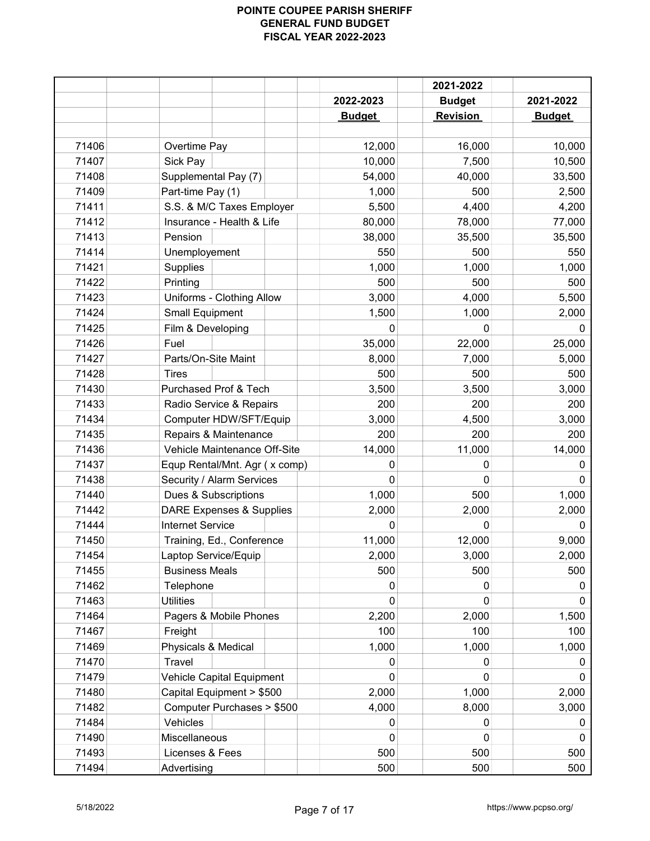|       |                                     |               | 2021-2022       |               |
|-------|-------------------------------------|---------------|-----------------|---------------|
|       |                                     | 2022-2023     | <b>Budget</b>   | 2021-2022     |
|       |                                     | <b>Budget</b> | <b>Revision</b> | <b>Budget</b> |
|       |                                     |               |                 |               |
| 71406 | Overtime Pay                        | 12,000        | 16,000          | 10,000        |
| 71407 | Sick Pay                            | 10,000        | 7,500           | 10,500        |
| 71408 | Supplemental Pay (7)                | 54,000        | 40,000          | 33,500        |
| 71409 | Part-time Pay (1)                   | 1,000         | 500             | 2,500         |
| 71411 | S.S. & M/C Taxes Employer           | 5,500         | 4,400           | 4,200         |
| 71412 | Insurance - Health & Life           | 80,000        | 78,000          | 77,000        |
| 71413 | Pension                             | 38,000        | 35,500          | 35,500        |
| 71414 | Unemployement                       | 550           | 500             | 550           |
| 71421 | Supplies                            | 1,000         | 1,000           | 1,000         |
| 71422 | Printing                            | 500           | 500             | 500           |
| 71423 | Uniforms - Clothing Allow           | 3,000         | 4,000           | 5,500         |
| 71424 | <b>Small Equipment</b>              | 1,500         | 1,000           | 2,000         |
| 71425 | Film & Developing                   | 0             | $\Omega$        | 0             |
| 71426 | Fuel                                | 35,000        | 22,000          | 25,000        |
| 71427 | Parts/On-Site Maint                 | 8,000         | 7,000           | 5,000         |
| 71428 | <b>Tires</b>                        | 500           | 500             | 500           |
| 71430 | Purchased Prof & Tech               | 3,500         | 3,500           | 3,000         |
| 71433 | Radio Service & Repairs             | 200           | 200             | 200           |
| 71434 | Computer HDW/SFT/Equip              | 3,000         | 4,500           | 3,000         |
| 71435 | Repairs & Maintenance               | 200           | 200             | 200           |
| 71436 | Vehicle Maintenance Off-Site        | 14,000        | 11,000          | 14,000        |
| 71437 | Equp Rental/Mnt. Agr (x comp)       | 0             | 0               | O             |
| 71438 | Security / Alarm Services           | 0             | $\Omega$        | 0             |
| 71440 | Dues & Subscriptions                | 1,000         | 500             | 1,000         |
| 71442 | <b>DARE Expenses &amp; Supplies</b> | 2,000         | 2,000           | 2,000         |
| 71444 | <b>Internet Service</b>             | 0             | $\Omega$        | 0             |
| 71450 | Training, Ed., Conference           | 11,000        | 12,000          | 9,000         |
| 71454 | Laptop Service/Equip                | 2,000         | 3,000           | 2,000         |
| 71455 | <b>Business Meals</b>               | 500           | 500             | 500           |
| 71462 | Telephone                           | 0             |                 | 0             |
| 71463 | <b>Utilities</b>                    | 0             | 0               | $\Omega$      |
| 71464 | Pagers & Mobile Phones              | 2,200         | 2,000           | 1,500         |
| 71467 | Freight                             | 100           | 100             | 100           |
| 71469 | Physicals & Medical                 | 1,000         | 1,000           | 1,000         |
| 71470 | Travel                              | 0             |                 | O             |
| 71479 | Vehicle Capital Equipment           | 0             | 0               |               |
| 71480 | Capital Equipment > \$500           | 2,000         | 1,000           | 2,000         |
| 71482 | Computer Purchases > \$500          | 4,000         | 8,000           | 3,000         |
| 71484 | Vehicles                            | $\Omega$      | 0               | 0             |
| 71490 | Miscellaneous                       | $\mathbf 0$   | 0               | 0             |
| 71493 | Licenses & Fees                     | 500           | 500             | 500           |
| 71494 | Advertising                         | 500           | 500             | 500           |
|       |                                     |               |                 |               |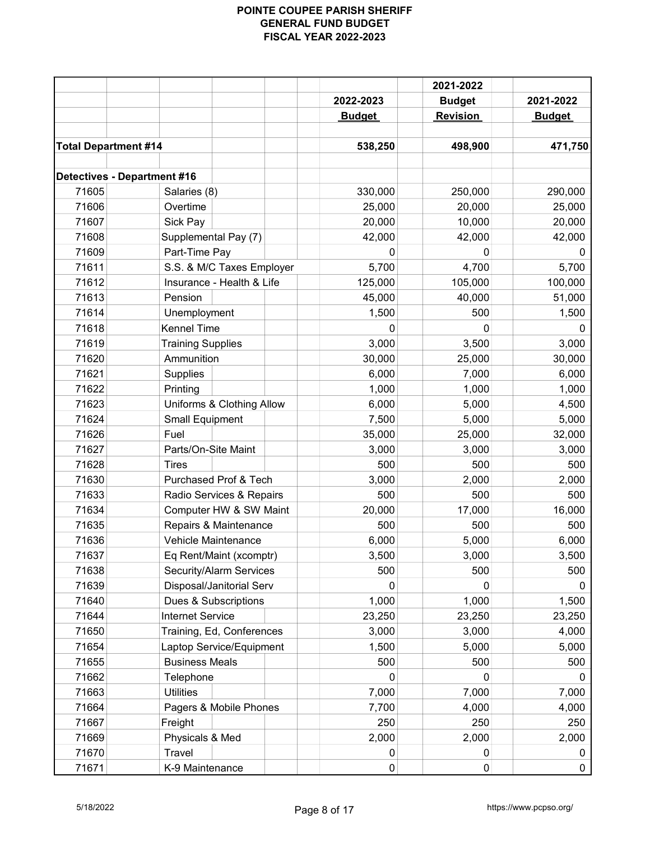|                                    |                           |               | 2021-2022       |               |
|------------------------------------|---------------------------|---------------|-----------------|---------------|
|                                    |                           | 2022-2023     | <b>Budget</b>   | 2021-2022     |
|                                    |                           | <b>Budget</b> | <b>Revision</b> | <b>Budget</b> |
|                                    |                           |               |                 |               |
| <b>Total Department #14</b>        |                           | 538,250       | 498,900         | 471,750       |
|                                    |                           |               |                 |               |
| <b>Detectives - Department #16</b> |                           |               |                 |               |
| 71605                              | Salaries (8)              | 330,000       | 250,000         | 290,000       |
| 71606                              | Overtime                  | 25,000        | 20,000          | 25,000        |
| 71607                              | Sick Pay                  | 20,000        | 10,000          | 20,000        |
| 71608                              | Supplemental Pay (7)      | 42,000        | 42,000          | 42,000        |
| 71609                              | Part-Time Pay             | 0             | 0               | 0             |
| 71611                              | S.S. & M/C Taxes Employer | 5,700         | 4,700           | 5,700         |
| 71612                              | Insurance - Health & Life | 125,000       | 105,000         | 100,000       |
| 71613                              | Pension                   | 45,000        | 40,000          | 51,000        |
| 71614                              | Unemployment              | 1,500         | 500             | 1,500         |
| 71618                              | Kennel Time               | 0             | 0               | 0             |
| 71619                              | <b>Training Supplies</b>  | 3,000         | 3,500           | 3,000         |
| 71620                              | Ammunition                | 30,000        | 25,000          | 30,000        |
| 71621                              | <b>Supplies</b>           | 6,000         | 7,000           | 6,000         |
| 71622                              | Printing                  | 1,000         | 1,000           | 1,000         |
| 71623                              | Uniforms & Clothing Allow | 6,000         | 5,000           | 4,500         |
| 71624                              | <b>Small Equipment</b>    | 7,500         | 5,000           | 5,000         |
| 71626                              | Fuel                      | 35,000        | 25,000          | 32,000        |
| 71627                              | Parts/On-Site Maint       | 3,000         | 3,000           | 3,000         |
| 71628                              | <b>Tires</b>              | 500           | 500             | 500           |
| 71630                              | Purchased Prof & Tech     | 3,000         | 2,000           | 2,000         |
| 71633                              | Radio Services & Repairs  | 500           | 500             | 500           |
| 71634                              | Computer HW & SW Maint    | 20,000        | 17,000          | 16,000        |
| 71635                              | Repairs & Maintenance     | 500           | 500             | 500           |
| 71636                              | Vehicle Maintenance       | 6,000         | 5,000           | 6,000         |
| 71637                              | Eq Rent/Maint (xcomptr)   | 3,500         | 3,000           | 3,500         |
| 71638                              | Security/Alarm Services   | 500           | 500             | 500           |
| 71639                              | Disposal/Janitorial Serv  | 0             |                 | $\Omega$      |
| 71640                              | Dues & Subscriptions      | 1,000         | 1,000           | 1,500         |
| 71644                              | <b>Internet Service</b>   | 23,250        | 23,250          | 23,250        |
| 71650                              | Training, Ed, Conferences | 3,000         | 3,000           | 4,000         |
| 71654                              | Laptop Service/Equipment  | 1,500         | 5,000           | 5,000         |
| 71655                              | <b>Business Meals</b>     | 500           | 500             | 500           |
| 71662                              | Telephone                 | 0             | 0               | 0             |
| 71663                              | <b>Utilities</b>          | 7,000         | 7,000           | 7,000         |
| 71664                              | Pagers & Mobile Phones    | 7,700         | 4,000           | 4,000         |
| 71667                              | Freight                   | 250           | 250             | 250           |
| 71669                              | Physicals & Med           | 2,000         | 2,000           | 2,000         |
| 71670                              | Travel                    | 0             | 0               | 0             |
| 71671                              | K-9 Maintenance           | 0             | 0               | 0             |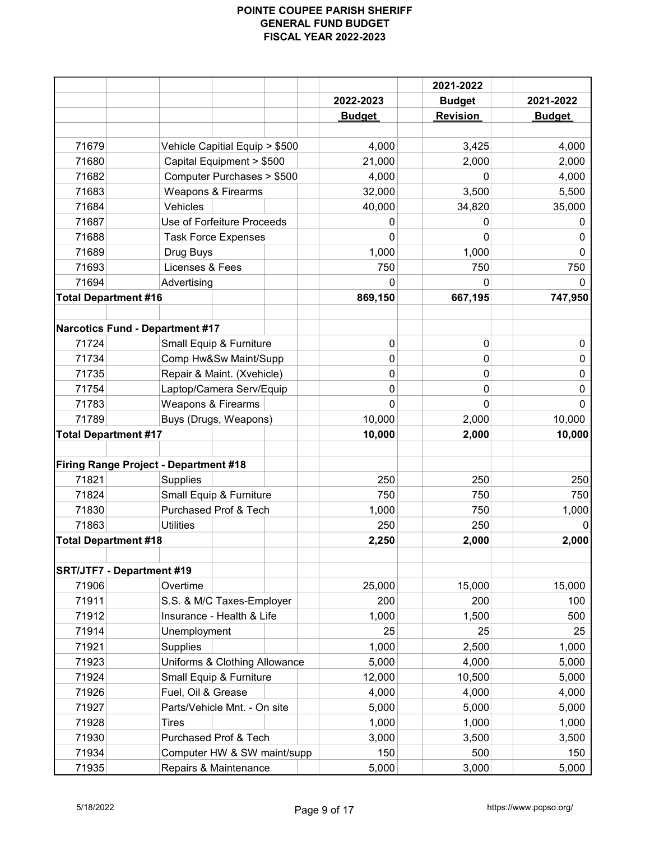|                                  |                                        |               | 2021-2022       |               |
|----------------------------------|----------------------------------------|---------------|-----------------|---------------|
|                                  |                                        | 2022-2023     | <b>Budget</b>   | 2021-2022     |
|                                  |                                        | <b>Budget</b> | <b>Revision</b> | <b>Budget</b> |
|                                  |                                        |               |                 |               |
| 71679                            | Vehicle Capitial Equip > \$500         | 4,000         | 3,425           | 4,000         |
| 71680                            | Capital Equipment > \$500              | 21,000        | 2,000           | 2,000         |
| 71682                            | Computer Purchases > \$500             | 4,000         | 0               | 4,000         |
| 71683                            | <b>Weapons &amp; Firearms</b>          | 32,000        | 3,500           | 5,500         |
| 71684                            | Vehicles                               | 40,000        | 34,820          | 35,000        |
| 71687                            | Use of Forfeiture Proceeds             | 0             | 0               | 0             |
| 71688                            | <b>Task Force Expenses</b>             | 0             | $\Omega$        | 0             |
| 71689                            | Drug Buys                              | 1,000         | 1,000           | $\mathbf{0}$  |
| 71693                            | Licenses & Fees                        | 750           | 750             | 750           |
| 71694                            | Advertising                            | 0             | 0               | 0             |
| <b>Total Department #16</b>      |                                        | 869,150       | 667,195         | 747,950       |
|                                  | <b>Narcotics Fund - Department #17</b> |               |                 |               |
| 71724                            | Small Equip & Furniture                | 0             | 0               | 0             |
| 71734                            | Comp Hw&Sw Maint/Supp                  | 0             | 0               | 0             |
| 71735                            | Repair & Maint. (Xvehicle)             | 0             | 0               | 0             |
| 71754                            | Laptop/Camera Serv/Equip               | 0             | 0               | $\mathbf{0}$  |
| 71783                            | Weapons & Firearms                     | 0             | 0               | $\mathbf 0$   |
| 71789                            | Buys (Drugs, Weapons)                  |               | 2,000           | 10,000        |
| <b>Total Department #17</b>      |                                        | 10,000        | 2,000           | 10,000        |
|                                  | Firing Range Project - Department #18  |               |                 |               |
| 71821                            | <b>Supplies</b>                        | 250           | 250             | 250           |
| 71824                            | Small Equip & Furniture                | 750           | 750             | 750           |
| 71830                            | Purchased Prof & Tech                  | 1,000         | 750             | 1,000         |
| 71863                            | <b>Utilities</b>                       | 250           | 250             | 0             |
| <b>Total Department #18</b>      |                                        | 2,250         | 2,000           | 2,000         |
|                                  |                                        |               |                 |               |
| <b>SRT/JTF7 - Department #19</b> |                                        |               |                 |               |
| 71906                            | Overtime                               | 25,000        | 15,000          | 15,000        |
| 71911                            | S.S. & M/C Taxes-Employer              | 200           | 200             | 100           |
| 71912                            | Insurance - Health & Life              | 1,000         | 1,500           | 500           |
| 71914                            | Unemployment                           | 25            | 25              | 25            |
| 71921                            | <b>Supplies</b>                        | 1,000         | 2,500           | 1,000         |
| 71923                            | Uniforms & Clothing Allowance          | 5,000         | 4,000           | 5,000         |
| 71924                            | Small Equip & Furniture                | 12,000        | 10,500          | 5,000         |
| 71926                            | Fuel, Oil & Grease                     | 4,000         | 4,000           | 4,000         |
| 71927                            | Parts/Vehicle Mnt. - On site           | 5,000         | 5,000           | 5,000         |
| 71928                            | <b>Tires</b>                           | 1,000         | 1,000           | 1,000         |
| 71930                            | Purchased Prof & Tech                  | 3,000         | 3,500           | 3,500         |
| 71934                            | Computer HW & SW maint/supp            | 150           | 500             | 150           |
| 71935                            | Repairs & Maintenance                  | 5,000         | 3,000           | 5,000         |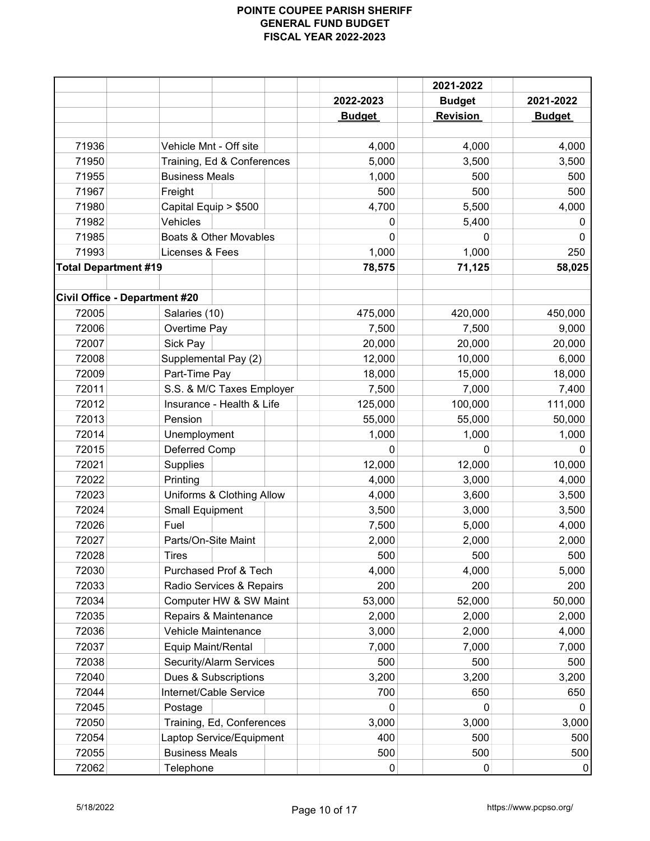|                                      |                            |               | 2021-2022       |               |
|--------------------------------------|----------------------------|---------------|-----------------|---------------|
|                                      |                            | 2022-2023     | <b>Budget</b>   | 2021-2022     |
|                                      |                            | <b>Budget</b> | <b>Revision</b> | <b>Budget</b> |
|                                      |                            |               |                 |               |
| 71936                                | Vehicle Mnt - Off site     | 4,000         | 4,000           | 4,000         |
| 71950                                | Training, Ed & Conferences | 5,000         | 3,500           | 3,500         |
| 71955                                | <b>Business Meals</b>      | 1,000         | 500             | 500           |
| 71967                                | Freight                    | 500           | 500             | 500           |
| 71980                                | Capital Equip > \$500      | 4,700         | 5,500           | 4,000         |
| 71982                                | Vehicles                   | 0             | 5,400           | 0             |
| 71985                                | Boats & Other Movables     | 0             | 0               | 0             |
| 71993                                | Licenses & Fees            | 1,000         | 1,000           | 250           |
| <b>Total Department #19</b>          |                            | 78,575        | 71,125          | 58,025        |
|                                      |                            |               |                 |               |
| <b>Civil Office - Department #20</b> |                            |               |                 |               |
| 72005                                | Salaries (10)              | 475,000       | 420,000         | 450,000       |
| 72006                                | Overtime Pay               | 7,500         | 7,500           | 9,000         |
| 72007                                | Sick Pay                   | 20,000        | 20,000          | 20,000        |
| 72008                                | Supplemental Pay (2)       | 12,000        | 10,000          | 6,000         |
| 72009                                | Part-Time Pay              | 18,000        | 15,000          | 18,000        |
| 72011                                | S.S. & M/C Taxes Employer  | 7,500         | 7,000           | 7,400         |
| 72012                                | Insurance - Health & Life  | 125,000       | 100,000         | 111,000       |
| 72013                                | Pension                    | 55,000        | 55,000          | 50,000        |
| 72014                                | Unemployment               | 1,000         | 1,000           | 1,000         |
| 72015                                | Deferred Comp              | 0             | 0               | 0             |
| 72021                                | Supplies                   | 12,000        | 12,000          | 10,000        |
| 72022                                | Printing                   | 4,000         | 3,000           | 4,000         |
| 72023                                | Uniforms & Clothing Allow  | 4,000         | 3,600           | 3,500         |
| 72024                                | <b>Small Equipment</b>     | 3,500         | 3,000           | 3,500         |
| 72026                                | Fuel                       | 7,500         | 5,000           | 4,000         |
| 72027                                | Parts/On-Site Maint        | 2,000         | 2,000           | 2,000         |
| 72028                                | Tires                      | 500           | 500             | 500           |
| 72030                                | Purchased Prof & Tech      | 4,000         | 4,000           | 5,000         |
| 72033                                | Radio Services & Repairs   | 200           | 200             | 200           |
| 72034                                | Computer HW & SW Maint     | 53,000        | 52,000          | 50,000        |
| 72035                                | Repairs & Maintenance      | 2,000         | 2,000           | 2,000         |
| 72036                                | Vehicle Maintenance        | 3,000         | 2,000           | 4,000         |
| 72037                                | Equip Maint/Rental         | 7,000         | 7,000           | 7,000         |
| 72038                                | Security/Alarm Services    | 500           | 500             | 500           |
| 72040                                | Dues & Subscriptions       | 3,200         | 3,200           | 3,200         |
| 72044                                | Internet/Cable Service     | 700           | 650             | 650           |
| 72045                                | Postage                    | 0             | 0               | 0             |
| 72050                                | Training, Ed, Conferences  | 3,000         | 3,000           | 3,000         |
| 72054                                | Laptop Service/Equipment   | 400           | 500             | 500           |
| 72055                                | <b>Business Meals</b>      | 500           | 500             | 500           |
| 72062                                | Telephone                  | 0             | 0               | 0             |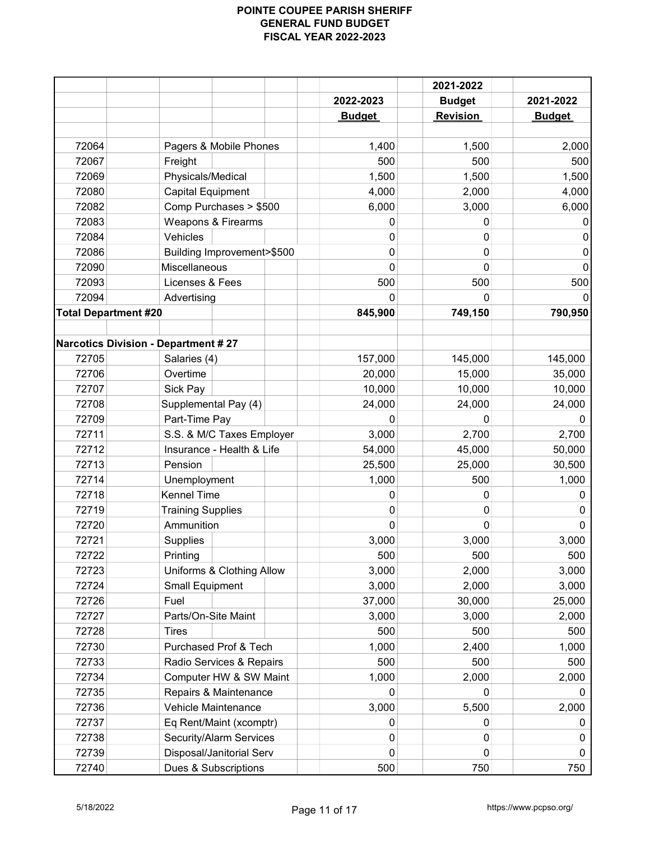|                             |                                            |               | 2021-2022       |               |
|-----------------------------|--------------------------------------------|---------------|-----------------|---------------|
|                             |                                            | 2022-2023     | <b>Budget</b>   | 2021-2022     |
|                             |                                            | <b>Budget</b> | <b>Revision</b> | <b>Budget</b> |
|                             |                                            |               |                 |               |
| 72064                       | Pagers & Mobile Phones                     | 1,400         | 1,500           | 2,000         |
| 72067                       | Freight                                    | 500           | 500             | 500           |
| 72069                       | Physicals/Medical                          | 1,500         | 1,500           | 1,500         |
| 72080                       | <b>Capital Equipment</b>                   | 4,000         | 2,000           | 4,000         |
| 72082                       | Comp Purchases > \$500                     | 6,000         | 3,000           | 6,000         |
| 72083                       | <b>Weapons &amp; Firearms</b>              | 0             |                 | 0             |
| 72084                       | Vehicles                                   | 0             | 0               | 0             |
| 72086                       | Building Improvement>\$500                 | 0             | 0               | 0             |
| 72090                       | Miscellaneous                              | 0             | 0               | 0             |
| 72093                       | Licenses & Fees                            | 500           | 500             | 500           |
| 72094                       | Advertising                                | O             |                 |               |
| <b>Total Department #20</b> |                                            | 845,900       | 749,150         | 790,950       |
|                             |                                            |               |                 |               |
|                             | <b>Narcotics Division - Department #27</b> |               |                 |               |
| 72705                       | Salaries (4)                               | 157,000       | 145,000         | 145,000       |
| 72706                       | Overtime                                   | 20,000        | 15,000          | 35,000        |
| 72707                       | Sick Pay                                   | 10,000        | 10,000          | 10,000        |
| 72708                       | Supplemental Pay (4)                       | 24,000        | 24,000          | 24,000        |
| 72709                       | Part-Time Pay                              | 0             |                 | 0             |
| 72711                       | S.S. & M/C Taxes Employer                  | 3,000         | 2,700           | 2,700         |
| 72712                       | Insurance - Health & Life                  | 54,000        | 45,000          | 50,000        |
| 72713                       | Pension                                    | 25,500        | 25,000          | 30,500        |
| 72714                       | Unemployment                               | 1,000         | 500             | 1,000         |
| 72718                       | Kennel Time                                | 0             | 0               | 0             |
| 72719                       | <b>Training Supplies</b>                   | 0             | 0               | 0             |
| 72720                       | Ammunition                                 | 0             | $\Omega$        | $\Omega$      |
| 72721                       | <b>Supplies</b>                            | 3,000         | 3,000           | 3,000         |
| 72722                       | Printing                                   | 500           | 500             | 500           |
| 72723                       | Uniforms & Clothing Allow                  | 3,000         | 2,000           | 3,000         |
| 72724                       | <b>Small Equipment</b>                     | 3,000         | 2,000           | 3,000         |
| 72726                       | Fuel                                       | 37,000        | 30,000          | 25,000        |
| 72727                       | Parts/On-Site Maint                        | 3,000         | 3,000           | 2,000         |
| 72728                       |                                            | 500           | 500             | 500           |
|                             | Tires<br>Purchased Prof & Tech             |               |                 | 1,000         |
| 72730                       |                                            | 1,000         | 2,400           |               |
| 72733                       | Radio Services & Repairs                   | 500           | 500             | 500           |
| 72734                       | Computer HW & SW Maint                     | 1,000         | 2,000           | 2,000         |
| 72735                       | Repairs & Maintenance                      | $\Omega$      | 0               | 0             |
| 72736                       | Vehicle Maintenance                        | 3,000         | 5,500           | 2,000         |
| 72737                       | Eq Rent/Maint (xcomptr)                    | 0             | $\Omega$        | 0             |
| 72738                       | Security/Alarm Services                    | 0             | 0               | 0             |
| 72739                       | Disposal/Janitorial Serv                   | 0             | 0               | 0             |
| 72740                       | Dues & Subscriptions                       | 500           | 750             | 750           |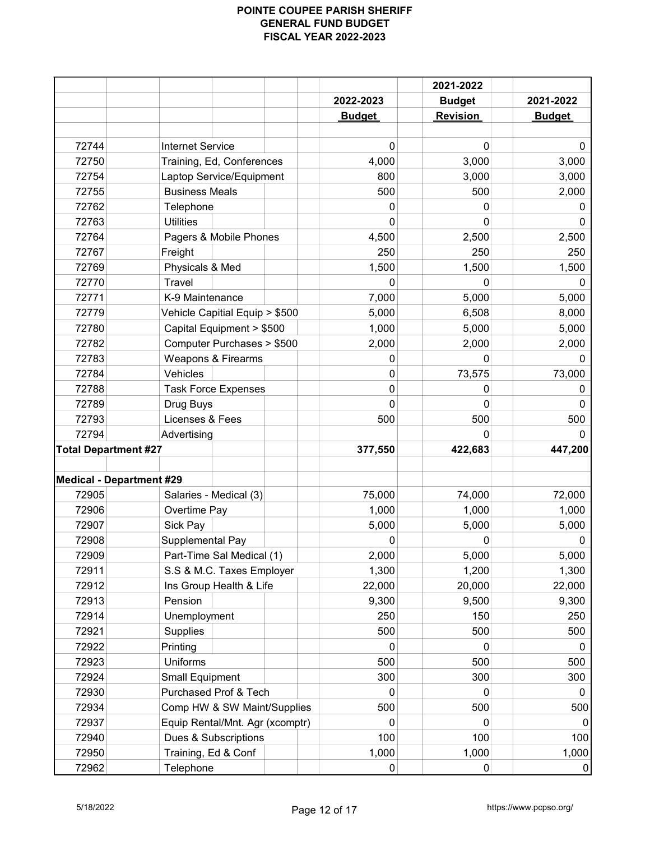|       |                                 |               | 2021-2022       |               |
|-------|---------------------------------|---------------|-----------------|---------------|
|       |                                 | 2022-2023     | <b>Budget</b>   | 2021-2022     |
|       |                                 | <b>Budget</b> | <b>Revision</b> | <b>Budget</b> |
|       |                                 |               |                 |               |
| 72744 | <b>Internet Service</b>         | 0             | 0               | 0             |
| 72750 | Training, Ed, Conferences       | 4,000         | 3,000           | 3,000         |
| 72754 | Laptop Service/Equipment        | 800           | 3,000           | 3,000         |
| 72755 | <b>Business Meals</b>           | 500           | 500             | 2,000         |
| 72762 | Telephone                       | 0             | 0               | 0             |
| 72763 | <b>Utilities</b>                | 0             | O               | 0             |
| 72764 | Pagers & Mobile Phones          | 4,500         | 2,500           | 2,500         |
| 72767 | Freight                         | 250           | 250             | 250           |
| 72769 | Physicals & Med                 | 1,500         | 1,500           | 1,500         |
| 72770 | <b>Travel</b>                   | 0             | 0               | 0             |
| 72771 | K-9 Maintenance                 | 7,000         | 5,000           | 5,000         |
| 72779 | Vehicle Capitial Equip > \$500  | 5,000         | 6,508           | 8,000         |
| 72780 | Capital Equipment > \$500       | 1,000         | 5,000           | 5,000         |
| 72782 | Computer Purchases > \$500      | 2,000         | 2,000           | 2,000         |
| 72783 | <b>Weapons &amp; Firearms</b>   | 0             | 0               | 0             |
| 72784 | Vehicles                        | 0             | 73,575          | 73,000        |
| 72788 | <b>Task Force Expenses</b>      | 0             | 0               | $\Omega$      |
| 72789 | Drug Buys                       | $\Omega$      | $\Omega$        | $\Omega$      |
| 72793 | Licenses & Fees                 | 500           | 500             | 500           |
| 72794 | Advertising                     |               | <sup>0</sup>    | 0             |
|       | <b>Total Department #27</b>     | 377,550       | 422,683         | 447,200       |
|       |                                 |               |                 |               |
|       | <b>Medical - Department #29</b> |               |                 |               |
| 72905 | Salaries - Medical (3)          | 75,000        | 74,000          | 72,000        |
| 72906 | Overtime Pay                    | 1,000         | 1,000           | 1,000         |
| 72907 | Sick Pay                        | 5,000         | 5,000           | 5,000         |
| 72908 | Supplemental Pay                | 0             | 0               | 0             |
| 72909 | Part-Time Sal Medical (1)       | 2,000         | 5,000           | 5,000         |
| 72911 | S.S & M.C. Taxes Employer       | 1,300         | 1,200           | 1,300         |
| 72912 | Ins Group Health & Life         | 22,000        | 20,000          | 22,000        |
| 72913 | Pension                         | 9,300         | 9,500           | 9,300         |
| 72914 | Unemployment                    | 250           | 150             | 250           |
| 72921 | <b>Supplies</b>                 | 500           | 500             | 500           |
| 72922 | Printing                        | $\Omega$      | 0               | 0             |
| 72923 | Uniforms                        | 500           | 500             | 500           |
| 72924 | <b>Small Equipment</b>          | 300           | 300             | 300           |
| 72930 | Purchased Prof & Tech           | 0             | 0               | 0             |
| 72934 | Comp HW & SW Maint/Supplies     | 500           | 500             | 500           |
| 72937 | Equip Rental/Mnt. Agr (xcomptr) | 0             | 0               | 0             |
| 72940 | Dues & Subscriptions            | 100           | 100             | 100           |
| 72950 | Training, Ed & Conf             | 1,000         | 1,000           | 1,000         |
| 72962 | Telephone                       | 0             | 0               | 0             |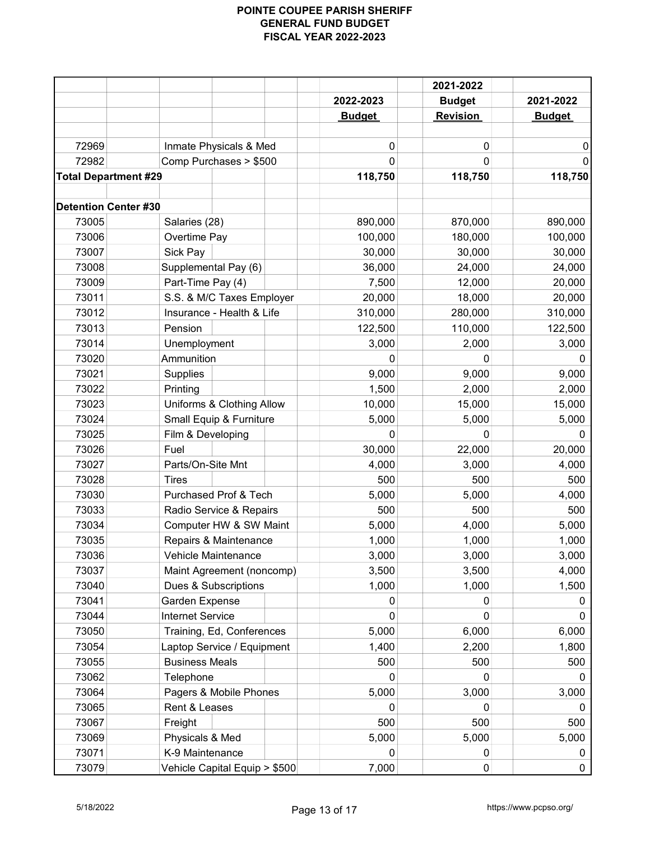|                             |                               |               | 2021-2022       |               |
|-----------------------------|-------------------------------|---------------|-----------------|---------------|
|                             |                               | 2022-2023     | <b>Budget</b>   | 2021-2022     |
|                             |                               | <b>Budget</b> | <b>Revision</b> | <b>Budget</b> |
|                             |                               |               |                 |               |
| 72969                       | Inmate Physicals & Med        | 0             | 0               | 0             |
| 72982                       | Comp Purchases > \$500        | 0             | 0               | $\mathbf{0}$  |
| <b>Total Department #29</b> |                               | 118,750       | 118,750         | 118,750       |
|                             |                               |               |                 |               |
| <b>Detention Center #30</b> |                               |               |                 |               |
| 73005                       | Salaries (28)                 | 890,000       | 870,000         | 890,000       |
| 73006                       | Overtime Pay                  | 100,000       | 180,000         | 100,000       |
| 73007                       | Sick Pay                      | 30,000        | 30,000          | 30,000        |
| 73008                       | Supplemental Pay (6)          | 36,000        | 24,000          | 24,000        |
| 73009                       | Part-Time Pay (4)             | 7,500         | 12,000          | 20,000        |
| 73011                       | S.S. & M/C Taxes Employer     | 20,000        | 18,000          | 20,000        |
| 73012                       | Insurance - Health & Life     | 310,000       | 280,000         | 310,000       |
| 73013                       | Pension                       | 122,500       | 110,000         | 122,500       |
| 73014                       | Unemployment                  | 3,000         | 2,000           | 3,000         |
| 73020                       | Ammunition                    | 0             | 0               | 0             |
| 73021                       | Supplies                      | 9,000         | 9,000           | 9,000         |
| 73022                       | Printing                      | 1,500         | 2,000           | 2,000         |
| 73023                       | Uniforms & Clothing Allow     | 10,000        | 15,000          | 15,000        |
| 73024                       | Small Equip & Furniture       | 5,000         | 5,000           | 5,000         |
| 73025                       | Film & Developing             | 0             | $\Omega$        | 0             |
| 73026                       | Fuel                          | 30,000        | 22,000          | 20,000        |
| 73027                       | Parts/On-Site Mnt             | 4,000         | 3,000           | 4,000         |
| 73028                       | <b>Tires</b>                  | 500           | 500             | 500           |
| 73030                       | Purchased Prof & Tech         | 5,000         | 5,000           | 4,000         |
| 73033                       | Radio Service & Repairs       | 500           | 500             | 500           |
| 73034                       | Computer HW & SW Maint        | 5,000         | 4,000           | 5,000         |
| 73035                       | Repairs & Maintenance         | 1,000         | 1,000           | 1,000         |
| 73036                       | Vehicle Maintenance           | 3,000         | 3,000           | 3,000         |
| 73037                       | Maint Agreement (noncomp)     | 3,500         | 3,500           | 4,000         |
| 73040                       | Dues & Subscriptions          | 1,000         | 1,000           | 1,500         |
| 73041                       | Garden Expense                | 0             | 0               | 0             |
| 73044                       | <b>Internet Service</b>       | 0             | 0               | 0             |
| 73050                       | Training, Ed, Conferences     | 5,000         | 6,000           | 6,000         |
| 73054                       | Laptop Service / Equipment    | 1,400         | 2,200           | 1,800         |
| 73055                       | <b>Business Meals</b>         | 500           | 500             | 500           |
| 73062                       | Telephone                     | 0             |                 | 0             |
| 73064                       | Pagers & Mobile Phones        | 5,000         | 3,000           | 3,000         |
| 73065                       | Rent & Leases                 | 0             | 0               | $\Omega$      |
| 73067                       | Freight                       | 500           | 500             | 500           |
| 73069                       | Physicals & Med               | 5,000         | 5,000           | 5,000         |
| 73071                       | K-9 Maintenance               | 0             | 0               | 0             |
| 73079                       | Vehicle Capital Equip > \$500 | 7,000         | 0               | 0             |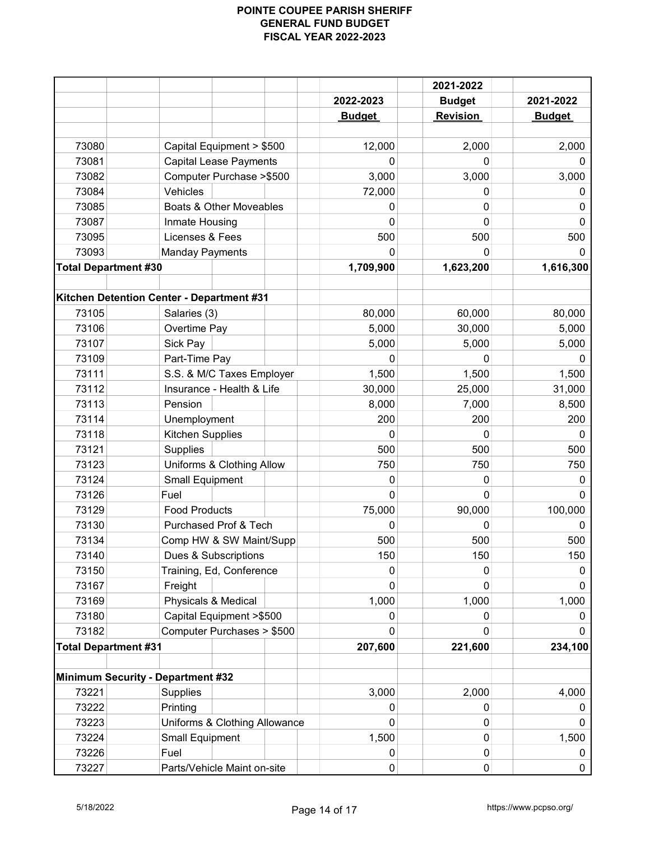|                             |                                           |               | 2021-2022       |               |  |
|-----------------------------|-------------------------------------------|---------------|-----------------|---------------|--|
|                             |                                           | 2022-2023     | <b>Budget</b>   | 2021-2022     |  |
|                             |                                           | <b>Budget</b> | <b>Revision</b> | <b>Budget</b> |  |
|                             |                                           |               |                 |               |  |
| 73080                       | Capital Equipment > \$500                 | 12,000        | 2,000           | 2,000         |  |
| 73081                       | <b>Capital Lease Payments</b>             | 0             | 0               | 0             |  |
| 73082                       | Computer Purchase > \$500                 | 3,000         | 3,000           | 3,000         |  |
| 73084                       | Vehicles                                  | 72,000        | 0               | 0             |  |
| 73085                       | Boats & Other Moveables                   | 0             | 0               | $\mathbf{0}$  |  |
| 73087                       | Inmate Housing                            | 0             | 0               | 0             |  |
| 73095                       | Licenses & Fees                           | 500           | 500             | 500           |  |
| 73093                       | <b>Manday Payments</b>                    | 0             | U               | 0             |  |
| <b>Total Department #30</b> |                                           | 1,709,900     | 1,623,200       | 1,616,300     |  |
|                             |                                           |               |                 |               |  |
|                             | Kitchen Detention Center - Department #31 |               |                 |               |  |
| 73105                       | Salaries (3)                              | 80,000        | 60,000          | 80,000        |  |
| 73106                       | Overtime Pay                              | 5,000         | 30,000          | 5,000         |  |
| 73107                       | Sick Pay                                  | 5,000         | 5,000           | 5,000         |  |
| 73109                       | Part-Time Pay                             | 0             | 0               | 0             |  |
| 73111                       | S.S. & M/C Taxes Employer                 | 1,500         | 1,500           | 1,500         |  |
| 73112                       | Insurance - Health & Life                 | 30,000        | 25,000          | 31,000        |  |
| 73113                       | Pension                                   | 8,000         | 7,000           | 8,500         |  |
| 73114                       | Unemployment                              | 200           | 200             | 200           |  |
| 73118                       | Kitchen Supplies                          | $\mathbf{0}$  | 0               | 0             |  |
| 73121                       | Supplies                                  | 500           | 500             | 500           |  |
| 73123                       | Uniforms & Clothing Allow                 | 750           | 750             | 750           |  |
| 73124                       | <b>Small Equipment</b>                    | $\mathbf 0$   | 0               | 0             |  |
| 73126                       | Fuel                                      | 0             | 0               | $\mathbf 0$   |  |
| 73129                       | <b>Food Products</b>                      | 75,000        | 90,000          | 100,000       |  |
| 73130                       | Purchased Prof & Tech                     | 0             | O               | 0             |  |
| 73134                       | Comp HW & SW Maint/Supp                   | 500           | 500             | 500           |  |
| 73140                       | Dues & Subscriptions                      | 150           | 150             | 150           |  |
| 73150                       | Training, Ed, Conference                  | 0             |                 | 0             |  |
| 73167                       | Freight                                   | 0             |                 | 0             |  |
| 73169                       | Physicals & Medical                       | 1,000         | 1,000           | 1,000         |  |
| 73180                       | Capital Equipment > \$500                 | 0             |                 | 0             |  |
| 73182                       | Computer Purchases > \$500                | 0             | 0               |               |  |
| <b>Total Department #31</b> |                                           | 207,600       | 221,600         | 234,100       |  |
|                             |                                           |               |                 |               |  |
|                             | <b>Minimum Security - Department #32</b>  |               |                 |               |  |
| 73221                       | Supplies                                  | 3,000         | 2,000           | 4,000         |  |
| 73222                       | Printing                                  | 0             | 0               | 0             |  |
| 73223                       | Uniforms & Clothing Allowance             | 0             | 0               | 0             |  |
| 73224                       | <b>Small Equipment</b>                    | 1,500         | 0               | 1,500         |  |
| 73226                       | Fuel                                      | 0             | 0               | 0             |  |
| 73227                       | Parts/Vehicle Maint on-site               | 0             | 0               | 0             |  |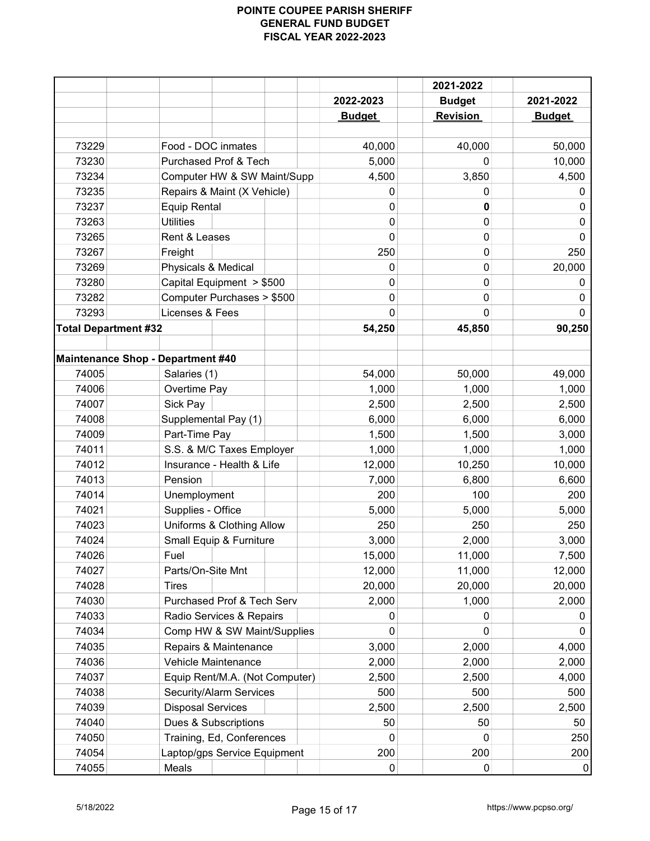| 2021-2022<br>2022-2023<br><b>Budget</b><br><b>Revision</b><br><b>Budget</b><br><b>Budget</b><br>73229<br>40,000<br>40,000<br>50,000<br>Food - DOC inmates<br>73230<br>Purchased Prof & Tech<br>5,000<br>10,000<br>$\Omega$<br>3,850<br>73234<br>4,500<br>Computer HW & SW Maint/Supp<br>4,500<br>73235<br>Repairs & Maint (X Vehicle)<br>0<br>0<br>0<br>73237<br><b>Equip Rental</b><br>0<br>0<br>0<br><b>Utilities</b><br>0<br>73263<br>0<br>0<br>73265<br>$\mathbf 0$<br>Rent & Leases<br>0<br>0<br>250<br>73267<br>250<br>Freight<br>0<br>73269<br>0<br>20,000<br>Physicals & Medical<br>0<br>73280<br>Capital Equipment > \$500<br>0<br>$\mathbf 0$<br>0<br>73282<br>Computer Purchases > \$500<br>0<br>0<br>0<br>73293<br>Licenses & Fees<br>0<br>O<br>$\Omega$<br>90,250<br><b>Total Department #32</b><br>54,250<br>45,850<br><b>Maintenance Shop - Department #40</b><br>74005<br>Salaries (1)<br>54,000<br>50,000<br>49,000<br>74006<br>Overtime Pay<br>1,000<br>1,000<br>1,000<br>74007<br>Sick Pay<br>2,500<br>2,500<br>2,500<br>74008<br>6,000<br>6,000<br>Supplemental Pay (1)<br>6,000<br>Part-Time Pay<br>74009<br>1,500<br>1,500<br>3,000<br>S.S. & M/C Taxes Employer<br>74011<br>1,000<br>1,000<br>1,000<br>Insurance - Health & Life<br>10,250<br>10,000<br>74012<br>12,000<br>74013<br>6,800<br>6,600<br>Pension<br>7,000<br>200<br>100<br>200<br>74014<br>Unemployment<br>74021<br>Supplies - Office<br>5,000<br>5,000<br>5,000<br>Uniforms & Clothing Allow<br>250<br>74023<br>250<br>250<br>74024<br>Small Equip & Furniture<br>3,000<br>2,000<br>3,000<br>74026<br>Fuel<br>15,000<br>11,000<br>7,500<br>11,000<br>74027<br>12,000<br>12,000<br>Parts/On-Site Mnt<br>20,000<br>20,000<br>20,000<br>74028<br><b>Tires</b><br>74030<br>Purchased Prof & Tech Serv<br>1,000<br>2,000<br>2,000<br>74033<br>Radio Services & Repairs<br>0<br>0<br>0<br>74034<br>Comp HW & SW Maint/Supplies<br>0<br>0<br>$\Omega$<br>74035<br>Repairs & Maintenance<br>2,000<br>4,000<br>3,000<br>Vehicle Maintenance<br>74036<br>2,000<br>2,000<br>2,000<br>74037<br>Equip Rent/M.A. (Not Computer)<br>2,500<br>2,500<br>4,000<br>Security/Alarm Services<br>74038<br>500<br>500<br>500<br><b>Disposal Services</b><br>74039<br>2,500<br>2,500<br>2,500<br>74040<br>Dues & Subscriptions<br>50<br>50<br>50<br>74050<br>Training, Ed, Conferences<br>250<br>0<br>0<br>Laptop/gps Service Equipment<br>200<br>74054<br>200<br>200 |  |  | 2021-2022 |  |  |  |
|------------------------------------------------------------------------------------------------------------------------------------------------------------------------------------------------------------------------------------------------------------------------------------------------------------------------------------------------------------------------------------------------------------------------------------------------------------------------------------------------------------------------------------------------------------------------------------------------------------------------------------------------------------------------------------------------------------------------------------------------------------------------------------------------------------------------------------------------------------------------------------------------------------------------------------------------------------------------------------------------------------------------------------------------------------------------------------------------------------------------------------------------------------------------------------------------------------------------------------------------------------------------------------------------------------------------------------------------------------------------------------------------------------------------------------------------------------------------------------------------------------------------------------------------------------------------------------------------------------------------------------------------------------------------------------------------------------------------------------------------------------------------------------------------------------------------------------------------------------------------------------------------------------------------------------------------------------------------------------------------------------------------------------------------------------------------------------------------------------------------------------------------------------------------------------------------------------------------------------------------------------------------------------------------------------------------------------------------------------------------------------------------------------------------------------|--|--|-----------|--|--|--|
|                                                                                                                                                                                                                                                                                                                                                                                                                                                                                                                                                                                                                                                                                                                                                                                                                                                                                                                                                                                                                                                                                                                                                                                                                                                                                                                                                                                                                                                                                                                                                                                                                                                                                                                                                                                                                                                                                                                                                                                                                                                                                                                                                                                                                                                                                                                                                                                                                                    |  |  |           |  |  |  |
|                                                                                                                                                                                                                                                                                                                                                                                                                                                                                                                                                                                                                                                                                                                                                                                                                                                                                                                                                                                                                                                                                                                                                                                                                                                                                                                                                                                                                                                                                                                                                                                                                                                                                                                                                                                                                                                                                                                                                                                                                                                                                                                                                                                                                                                                                                                                                                                                                                    |  |  |           |  |  |  |
|                                                                                                                                                                                                                                                                                                                                                                                                                                                                                                                                                                                                                                                                                                                                                                                                                                                                                                                                                                                                                                                                                                                                                                                                                                                                                                                                                                                                                                                                                                                                                                                                                                                                                                                                                                                                                                                                                                                                                                                                                                                                                                                                                                                                                                                                                                                                                                                                                                    |  |  |           |  |  |  |
|                                                                                                                                                                                                                                                                                                                                                                                                                                                                                                                                                                                                                                                                                                                                                                                                                                                                                                                                                                                                                                                                                                                                                                                                                                                                                                                                                                                                                                                                                                                                                                                                                                                                                                                                                                                                                                                                                                                                                                                                                                                                                                                                                                                                                                                                                                                                                                                                                                    |  |  |           |  |  |  |
|                                                                                                                                                                                                                                                                                                                                                                                                                                                                                                                                                                                                                                                                                                                                                                                                                                                                                                                                                                                                                                                                                                                                                                                                                                                                                                                                                                                                                                                                                                                                                                                                                                                                                                                                                                                                                                                                                                                                                                                                                                                                                                                                                                                                                                                                                                                                                                                                                                    |  |  |           |  |  |  |
|                                                                                                                                                                                                                                                                                                                                                                                                                                                                                                                                                                                                                                                                                                                                                                                                                                                                                                                                                                                                                                                                                                                                                                                                                                                                                                                                                                                                                                                                                                                                                                                                                                                                                                                                                                                                                                                                                                                                                                                                                                                                                                                                                                                                                                                                                                                                                                                                                                    |  |  |           |  |  |  |
|                                                                                                                                                                                                                                                                                                                                                                                                                                                                                                                                                                                                                                                                                                                                                                                                                                                                                                                                                                                                                                                                                                                                                                                                                                                                                                                                                                                                                                                                                                                                                                                                                                                                                                                                                                                                                                                                                                                                                                                                                                                                                                                                                                                                                                                                                                                                                                                                                                    |  |  |           |  |  |  |
|                                                                                                                                                                                                                                                                                                                                                                                                                                                                                                                                                                                                                                                                                                                                                                                                                                                                                                                                                                                                                                                                                                                                                                                                                                                                                                                                                                                                                                                                                                                                                                                                                                                                                                                                                                                                                                                                                                                                                                                                                                                                                                                                                                                                                                                                                                                                                                                                                                    |  |  |           |  |  |  |
|                                                                                                                                                                                                                                                                                                                                                                                                                                                                                                                                                                                                                                                                                                                                                                                                                                                                                                                                                                                                                                                                                                                                                                                                                                                                                                                                                                                                                                                                                                                                                                                                                                                                                                                                                                                                                                                                                                                                                                                                                                                                                                                                                                                                                                                                                                                                                                                                                                    |  |  |           |  |  |  |
|                                                                                                                                                                                                                                                                                                                                                                                                                                                                                                                                                                                                                                                                                                                                                                                                                                                                                                                                                                                                                                                                                                                                                                                                                                                                                                                                                                                                                                                                                                                                                                                                                                                                                                                                                                                                                                                                                                                                                                                                                                                                                                                                                                                                                                                                                                                                                                                                                                    |  |  |           |  |  |  |
|                                                                                                                                                                                                                                                                                                                                                                                                                                                                                                                                                                                                                                                                                                                                                                                                                                                                                                                                                                                                                                                                                                                                                                                                                                                                                                                                                                                                                                                                                                                                                                                                                                                                                                                                                                                                                                                                                                                                                                                                                                                                                                                                                                                                                                                                                                                                                                                                                                    |  |  |           |  |  |  |
|                                                                                                                                                                                                                                                                                                                                                                                                                                                                                                                                                                                                                                                                                                                                                                                                                                                                                                                                                                                                                                                                                                                                                                                                                                                                                                                                                                                                                                                                                                                                                                                                                                                                                                                                                                                                                                                                                                                                                                                                                                                                                                                                                                                                                                                                                                                                                                                                                                    |  |  |           |  |  |  |
|                                                                                                                                                                                                                                                                                                                                                                                                                                                                                                                                                                                                                                                                                                                                                                                                                                                                                                                                                                                                                                                                                                                                                                                                                                                                                                                                                                                                                                                                                                                                                                                                                                                                                                                                                                                                                                                                                                                                                                                                                                                                                                                                                                                                                                                                                                                                                                                                                                    |  |  |           |  |  |  |
|                                                                                                                                                                                                                                                                                                                                                                                                                                                                                                                                                                                                                                                                                                                                                                                                                                                                                                                                                                                                                                                                                                                                                                                                                                                                                                                                                                                                                                                                                                                                                                                                                                                                                                                                                                                                                                                                                                                                                                                                                                                                                                                                                                                                                                                                                                                                                                                                                                    |  |  |           |  |  |  |
|                                                                                                                                                                                                                                                                                                                                                                                                                                                                                                                                                                                                                                                                                                                                                                                                                                                                                                                                                                                                                                                                                                                                                                                                                                                                                                                                                                                                                                                                                                                                                                                                                                                                                                                                                                                                                                                                                                                                                                                                                                                                                                                                                                                                                                                                                                                                                                                                                                    |  |  |           |  |  |  |
|                                                                                                                                                                                                                                                                                                                                                                                                                                                                                                                                                                                                                                                                                                                                                                                                                                                                                                                                                                                                                                                                                                                                                                                                                                                                                                                                                                                                                                                                                                                                                                                                                                                                                                                                                                                                                                                                                                                                                                                                                                                                                                                                                                                                                                                                                                                                                                                                                                    |  |  |           |  |  |  |
|                                                                                                                                                                                                                                                                                                                                                                                                                                                                                                                                                                                                                                                                                                                                                                                                                                                                                                                                                                                                                                                                                                                                                                                                                                                                                                                                                                                                                                                                                                                                                                                                                                                                                                                                                                                                                                                                                                                                                                                                                                                                                                                                                                                                                                                                                                                                                                                                                                    |  |  |           |  |  |  |
|                                                                                                                                                                                                                                                                                                                                                                                                                                                                                                                                                                                                                                                                                                                                                                                                                                                                                                                                                                                                                                                                                                                                                                                                                                                                                                                                                                                                                                                                                                                                                                                                                                                                                                                                                                                                                                                                                                                                                                                                                                                                                                                                                                                                                                                                                                                                                                                                                                    |  |  |           |  |  |  |
|                                                                                                                                                                                                                                                                                                                                                                                                                                                                                                                                                                                                                                                                                                                                                                                                                                                                                                                                                                                                                                                                                                                                                                                                                                                                                                                                                                                                                                                                                                                                                                                                                                                                                                                                                                                                                                                                                                                                                                                                                                                                                                                                                                                                                                                                                                                                                                                                                                    |  |  |           |  |  |  |
|                                                                                                                                                                                                                                                                                                                                                                                                                                                                                                                                                                                                                                                                                                                                                                                                                                                                                                                                                                                                                                                                                                                                                                                                                                                                                                                                                                                                                                                                                                                                                                                                                                                                                                                                                                                                                                                                                                                                                                                                                                                                                                                                                                                                                                                                                                                                                                                                                                    |  |  |           |  |  |  |
|                                                                                                                                                                                                                                                                                                                                                                                                                                                                                                                                                                                                                                                                                                                                                                                                                                                                                                                                                                                                                                                                                                                                                                                                                                                                                                                                                                                                                                                                                                                                                                                                                                                                                                                                                                                                                                                                                                                                                                                                                                                                                                                                                                                                                                                                                                                                                                                                                                    |  |  |           |  |  |  |
|                                                                                                                                                                                                                                                                                                                                                                                                                                                                                                                                                                                                                                                                                                                                                                                                                                                                                                                                                                                                                                                                                                                                                                                                                                                                                                                                                                                                                                                                                                                                                                                                                                                                                                                                                                                                                                                                                                                                                                                                                                                                                                                                                                                                                                                                                                                                                                                                                                    |  |  |           |  |  |  |
|                                                                                                                                                                                                                                                                                                                                                                                                                                                                                                                                                                                                                                                                                                                                                                                                                                                                                                                                                                                                                                                                                                                                                                                                                                                                                                                                                                                                                                                                                                                                                                                                                                                                                                                                                                                                                                                                                                                                                                                                                                                                                                                                                                                                                                                                                                                                                                                                                                    |  |  |           |  |  |  |
|                                                                                                                                                                                                                                                                                                                                                                                                                                                                                                                                                                                                                                                                                                                                                                                                                                                                                                                                                                                                                                                                                                                                                                                                                                                                                                                                                                                                                                                                                                                                                                                                                                                                                                                                                                                                                                                                                                                                                                                                                                                                                                                                                                                                                                                                                                                                                                                                                                    |  |  |           |  |  |  |
|                                                                                                                                                                                                                                                                                                                                                                                                                                                                                                                                                                                                                                                                                                                                                                                                                                                                                                                                                                                                                                                                                                                                                                                                                                                                                                                                                                                                                                                                                                                                                                                                                                                                                                                                                                                                                                                                                                                                                                                                                                                                                                                                                                                                                                                                                                                                                                                                                                    |  |  |           |  |  |  |
|                                                                                                                                                                                                                                                                                                                                                                                                                                                                                                                                                                                                                                                                                                                                                                                                                                                                                                                                                                                                                                                                                                                                                                                                                                                                                                                                                                                                                                                                                                                                                                                                                                                                                                                                                                                                                                                                                                                                                                                                                                                                                                                                                                                                                                                                                                                                                                                                                                    |  |  |           |  |  |  |
|                                                                                                                                                                                                                                                                                                                                                                                                                                                                                                                                                                                                                                                                                                                                                                                                                                                                                                                                                                                                                                                                                                                                                                                                                                                                                                                                                                                                                                                                                                                                                                                                                                                                                                                                                                                                                                                                                                                                                                                                                                                                                                                                                                                                                                                                                                                                                                                                                                    |  |  |           |  |  |  |
|                                                                                                                                                                                                                                                                                                                                                                                                                                                                                                                                                                                                                                                                                                                                                                                                                                                                                                                                                                                                                                                                                                                                                                                                                                                                                                                                                                                                                                                                                                                                                                                                                                                                                                                                                                                                                                                                                                                                                                                                                                                                                                                                                                                                                                                                                                                                                                                                                                    |  |  |           |  |  |  |
|                                                                                                                                                                                                                                                                                                                                                                                                                                                                                                                                                                                                                                                                                                                                                                                                                                                                                                                                                                                                                                                                                                                                                                                                                                                                                                                                                                                                                                                                                                                                                                                                                                                                                                                                                                                                                                                                                                                                                                                                                                                                                                                                                                                                                                                                                                                                                                                                                                    |  |  |           |  |  |  |
|                                                                                                                                                                                                                                                                                                                                                                                                                                                                                                                                                                                                                                                                                                                                                                                                                                                                                                                                                                                                                                                                                                                                                                                                                                                                                                                                                                                                                                                                                                                                                                                                                                                                                                                                                                                                                                                                                                                                                                                                                                                                                                                                                                                                                                                                                                                                                                                                                                    |  |  |           |  |  |  |
|                                                                                                                                                                                                                                                                                                                                                                                                                                                                                                                                                                                                                                                                                                                                                                                                                                                                                                                                                                                                                                                                                                                                                                                                                                                                                                                                                                                                                                                                                                                                                                                                                                                                                                                                                                                                                                                                                                                                                                                                                                                                                                                                                                                                                                                                                                                                                                                                                                    |  |  |           |  |  |  |
|                                                                                                                                                                                                                                                                                                                                                                                                                                                                                                                                                                                                                                                                                                                                                                                                                                                                                                                                                                                                                                                                                                                                                                                                                                                                                                                                                                                                                                                                                                                                                                                                                                                                                                                                                                                                                                                                                                                                                                                                                                                                                                                                                                                                                                                                                                                                                                                                                                    |  |  |           |  |  |  |
|                                                                                                                                                                                                                                                                                                                                                                                                                                                                                                                                                                                                                                                                                                                                                                                                                                                                                                                                                                                                                                                                                                                                                                                                                                                                                                                                                                                                                                                                                                                                                                                                                                                                                                                                                                                                                                                                                                                                                                                                                                                                                                                                                                                                                                                                                                                                                                                                                                    |  |  |           |  |  |  |
|                                                                                                                                                                                                                                                                                                                                                                                                                                                                                                                                                                                                                                                                                                                                                                                                                                                                                                                                                                                                                                                                                                                                                                                                                                                                                                                                                                                                                                                                                                                                                                                                                                                                                                                                                                                                                                                                                                                                                                                                                                                                                                                                                                                                                                                                                                                                                                                                                                    |  |  |           |  |  |  |
|                                                                                                                                                                                                                                                                                                                                                                                                                                                                                                                                                                                                                                                                                                                                                                                                                                                                                                                                                                                                                                                                                                                                                                                                                                                                                                                                                                                                                                                                                                                                                                                                                                                                                                                                                                                                                                                                                                                                                                                                                                                                                                                                                                                                                                                                                                                                                                                                                                    |  |  |           |  |  |  |
|                                                                                                                                                                                                                                                                                                                                                                                                                                                                                                                                                                                                                                                                                                                                                                                                                                                                                                                                                                                                                                                                                                                                                                                                                                                                                                                                                                                                                                                                                                                                                                                                                                                                                                                                                                                                                                                                                                                                                                                                                                                                                                                                                                                                                                                                                                                                                                                                                                    |  |  |           |  |  |  |
|                                                                                                                                                                                                                                                                                                                                                                                                                                                                                                                                                                                                                                                                                                                                                                                                                                                                                                                                                                                                                                                                                                                                                                                                                                                                                                                                                                                                                                                                                                                                                                                                                                                                                                                                                                                                                                                                                                                                                                                                                                                                                                                                                                                                                                                                                                                                                                                                                                    |  |  |           |  |  |  |
|                                                                                                                                                                                                                                                                                                                                                                                                                                                                                                                                                                                                                                                                                                                                                                                                                                                                                                                                                                                                                                                                                                                                                                                                                                                                                                                                                                                                                                                                                                                                                                                                                                                                                                                                                                                                                                                                                                                                                                                                                                                                                                                                                                                                                                                                                                                                                                                                                                    |  |  |           |  |  |  |
|                                                                                                                                                                                                                                                                                                                                                                                                                                                                                                                                                                                                                                                                                                                                                                                                                                                                                                                                                                                                                                                                                                                                                                                                                                                                                                                                                                                                                                                                                                                                                                                                                                                                                                                                                                                                                                                                                                                                                                                                                                                                                                                                                                                                                                                                                                                                                                                                                                    |  |  |           |  |  |  |
|                                                                                                                                                                                                                                                                                                                                                                                                                                                                                                                                                                                                                                                                                                                                                                                                                                                                                                                                                                                                                                                                                                                                                                                                                                                                                                                                                                                                                                                                                                                                                                                                                                                                                                                                                                                                                                                                                                                                                                                                                                                                                                                                                                                                                                                                                                                                                                                                                                    |  |  |           |  |  |  |
|                                                                                                                                                                                                                                                                                                                                                                                                                                                                                                                                                                                                                                                                                                                                                                                                                                                                                                                                                                                                                                                                                                                                                                                                                                                                                                                                                                                                                                                                                                                                                                                                                                                                                                                                                                                                                                                                                                                                                                                                                                                                                                                                                                                                                                                                                                                                                                                                                                    |  |  |           |  |  |  |
|                                                                                                                                                                                                                                                                                                                                                                                                                                                                                                                                                                                                                                                                                                                                                                                                                                                                                                                                                                                                                                                                                                                                                                                                                                                                                                                                                                                                                                                                                                                                                                                                                                                                                                                                                                                                                                                                                                                                                                                                                                                                                                                                                                                                                                                                                                                                                                                                                                    |  |  |           |  |  |  |
|                                                                                                                                                                                                                                                                                                                                                                                                                                                                                                                                                                                                                                                                                                                                                                                                                                                                                                                                                                                                                                                                                                                                                                                                                                                                                                                                                                                                                                                                                                                                                                                                                                                                                                                                                                                                                                                                                                                                                                                                                                                                                                                                                                                                                                                                                                                                                                                                                                    |  |  |           |  |  |  |
|                                                                                                                                                                                                                                                                                                                                                                                                                                                                                                                                                                                                                                                                                                                                                                                                                                                                                                                                                                                                                                                                                                                                                                                                                                                                                                                                                                                                                                                                                                                                                                                                                                                                                                                                                                                                                                                                                                                                                                                                                                                                                                                                                                                                                                                                                                                                                                                                                                    |  |  |           |  |  |  |
| 74055<br>Meals<br>0<br>0<br>$\mathbf 0$                                                                                                                                                                                                                                                                                                                                                                                                                                                                                                                                                                                                                                                                                                                                                                                                                                                                                                                                                                                                                                                                                                                                                                                                                                                                                                                                                                                                                                                                                                                                                                                                                                                                                                                                                                                                                                                                                                                                                                                                                                                                                                                                                                                                                                                                                                                                                                                            |  |  |           |  |  |  |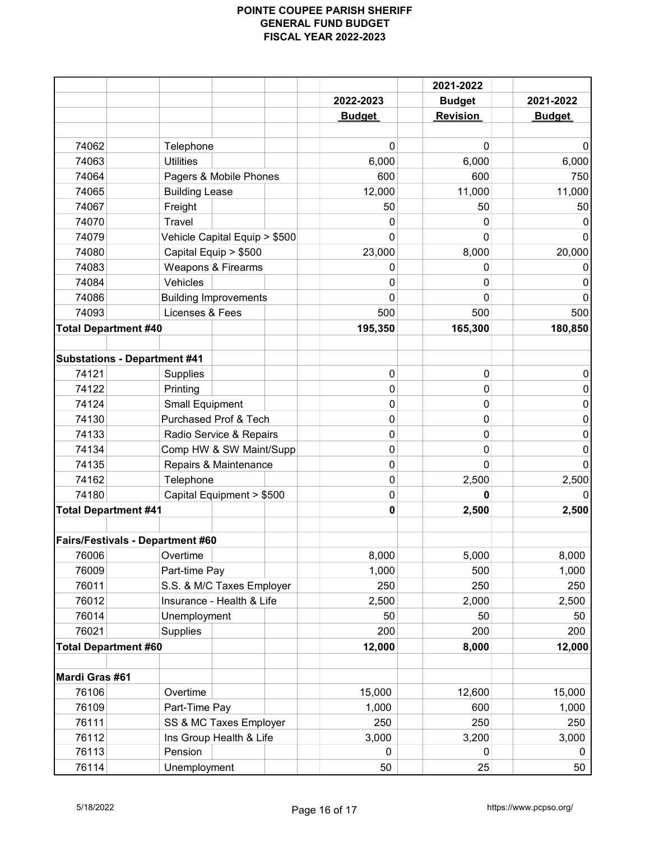|                                           |                               | 2021-2022      |                 |                |
|-------------------------------------------|-------------------------------|----------------|-----------------|----------------|
|                                           |                               | 2022-2023      | <b>Budget</b>   | 2021-2022      |
|                                           |                               | <b>Budget</b>  | <b>Revision</b> | <b>Budget</b>  |
|                                           |                               |                |                 |                |
| 74062                                     | Telephone                     | $\Omega$       | 0               | 0              |
| 74063                                     | <b>Utilities</b>              | 6,000          | 6,000           | 6,000          |
| 74064                                     | Pagers & Mobile Phones        | 600            | 600             | 750            |
| 74065                                     | <b>Building Lease</b>         | 12,000         | 11,000          | 11,000         |
| 74067                                     | Freight                       | 50             | 50              | 50             |
| 74070                                     | Travel                        | 0              | 0               | 0              |
| 74079                                     | Vehicle Capital Equip > \$500 | 0              | 0               |                |
| 74080                                     | Capital Equip > \$500         | 23,000         | 8,000           | 20,000         |
| 74083                                     | Weapons & Firearms            | 0              | 0               | 0              |
| 74084                                     | Vehicles                      | 0              | 0               | 0              |
| 74086                                     | <b>Building Improvements</b>  | 0              | 0               | $\mathbf{0}$   |
| 74093                                     | Licenses & Fees               | 500            | 500             | 500            |
| <b>Total Department #40</b>               |                               | 195,350        | 165,300         | 180,850        |
| <b>Substations - Department #41</b>       |                               |                |                 |                |
| 74121                                     | Supplies                      | 0              | 0               | 0              |
| 74122                                     | Printing                      | 0              | 0               | 0              |
| 74124                                     | <b>Small Equipment</b>        | 0              | 0               | 0              |
| 74130                                     | Purchased Prof & Tech         | 0              | 0               | 0              |
| 74133                                     | Radio Service & Repairs       | 0              | 0               | 0              |
| 74134                                     | Comp HW & SW Maint/Supp       | 0              | 0               | 0              |
| 74135                                     | Repairs & Maintenance         | 0              | 0               | 0              |
| 74162                                     | Telephone                     | 0              | 2,500           | 2,500          |
| 74180                                     | Capital Equipment > \$500     | 0              | 0               | 0              |
| <b>Total Department #41</b>               |                               | 0              | 2,500           | 2,500          |
|                                           |                               |                |                 |                |
| Fairs/Festivals - Department #60<br>76006 | Overtime                      |                |                 |                |
| 76009                                     | Part-time Pay                 | 8,000<br>1,000 | 5,000<br>500    | 8,000<br>1,000 |
| 76011                                     | S.S. & M/C Taxes Employer     | 250            | 250             | 250            |
| 76012                                     | Insurance - Health & Life     | 2,500          | 2,000           | 2,500          |
| 76014                                     | Unemployment                  | 50             | 50              | 50             |
| 76021                                     | Supplies                      | 200            | 200             | 200            |
| <b>Total Department #60</b>               |                               | 12,000         | 8,000           | 12,000         |
|                                           |                               |                |                 |                |
| Mardi Gras #61                            |                               |                |                 |                |
| 76106                                     | Overtime                      | 15,000         | 12,600          | 15,000         |
| 76109                                     | Part-Time Pay                 | 1,000          | 600             | 1,000          |
| 76111                                     | SS & MC Taxes Employer        | 250            | 250             | 250            |
| 76112                                     | Ins Group Health & Life       | 3,000          | 3,200           | 3,000          |
| 76113                                     | Pension                       | 0              | 0               | 0              |
| 76114                                     | Unemployment                  | 50             | 25              | 50             |